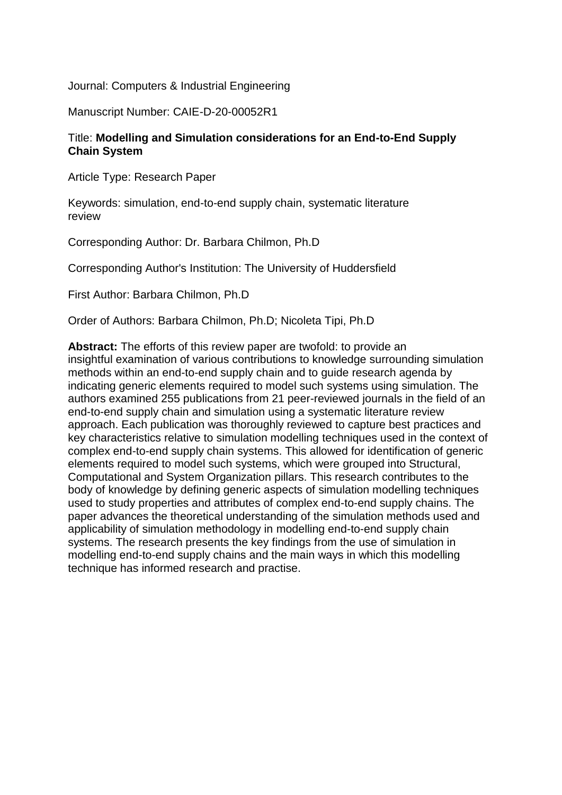Journal: Computers & Industrial Engineering

Manuscript Number: CAIE-D-20-00052R1

# Title: **Modelling and Simulation considerations for an End-to-End Supply Chain System**

Article Type: Research Paper

Keywords: simulation, end-to-end supply chain, systematic literature review

Corresponding Author: Dr. Barbara Chilmon, Ph.D

Corresponding Author's Institution: The University of Huddersfield

First Author: Barbara Chilmon, Ph.D

Order of Authors: Barbara Chilmon, Ph.D; Nicoleta Tipi, Ph.D

**Abstract:** The efforts of this review paper are twofold: to provide an insightful examination of various contributions to knowledge surrounding simulation methods within an end-to-end supply chain and to guide research agenda by indicating generic elements required to model such systems using simulation. The authors examined 255 publications from 21 peer-reviewed journals in the field of an end-to-end supply chain and simulation using a systematic literature review approach. Each publication was thoroughly reviewed to capture best practices and key characteristics relative to simulation modelling techniques used in the context of complex end-to-end supply chain systems. This allowed for identification of generic elements required to model such systems, which were grouped into Structural, Computational and System Organization pillars. This research contributes to the body of knowledge by defining generic aspects of simulation modelling techniques used to study properties and attributes of complex end-to-end supply chains. The paper advances the theoretical understanding of the simulation methods used and applicability of simulation methodology in modelling end-to-end supply chain systems. The research presents the key findings from the use of simulation in modelling end-to-end supply chains and the main ways in which this modelling technique has informed research and practise.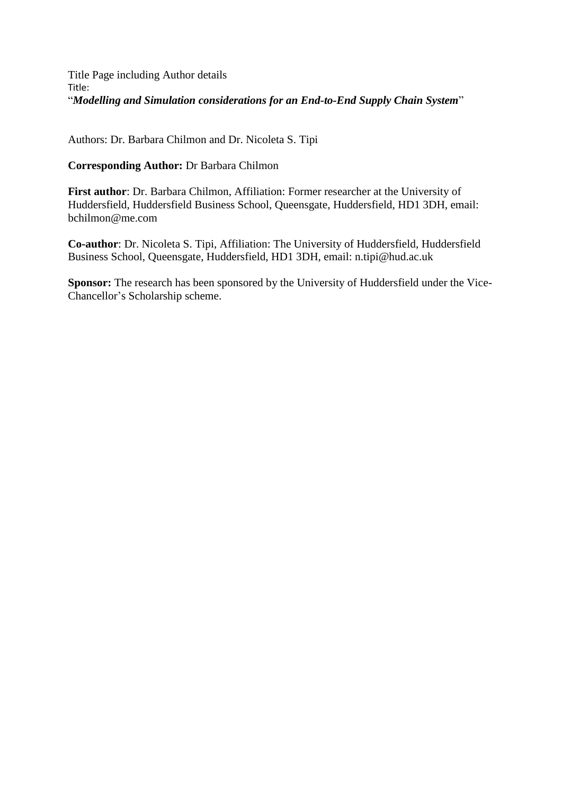Title Page including Author details Title: "*Modelling and Simulation considerations for an End-to-End Supply Chain System*"

Authors: Dr. Barbara Chilmon and Dr. Nicoleta S. Tipi

**Corresponding Author:** Dr Barbara Chilmon

**First author**: Dr. Barbara Chilmon, Affiliation: Former researcher at the University of Huddersfield, Huddersfield Business School, Queensgate, Huddersfield, HD1 3DH, email: bchilmon@me.com

**Co-author**: Dr. Nicoleta S. Tipi, Affiliation: The University of Huddersfield, Huddersfield Business School, Queensgate, Huddersfield, HD1 3DH, email: n.tipi@hud.ac.uk

**Sponsor:** The research has been sponsored by the University of Huddersfield under the Vice-Chancellor's Scholarship scheme.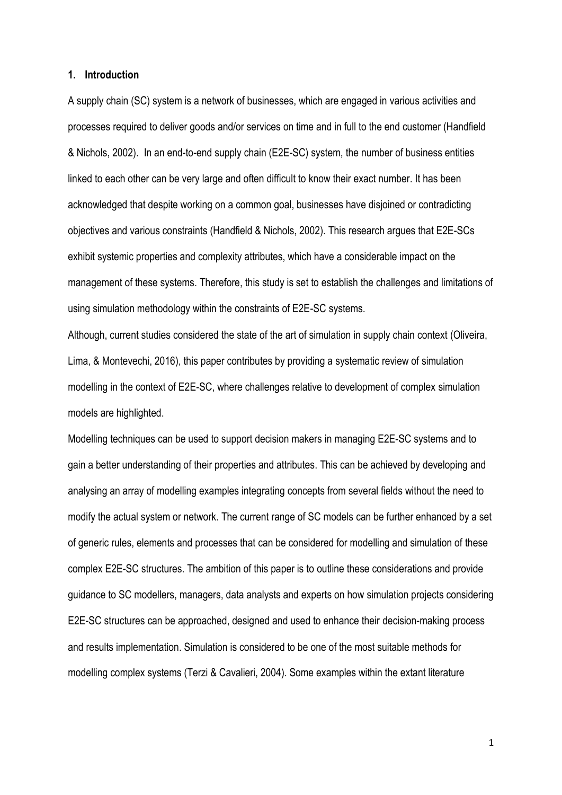### **1. Introduction**

A supply chain (SC) system is a network of businesses, which are engaged in various activities and processes required to deliver goods and/or services on time and in full to the end customer (Handfield & Nichols, 2002). In an end-to-end supply chain (E2E-SC) system, the number of business entities linked to each other can be very large and often difficult to know their exact number. It has been acknowledged that despite working on a common goal, businesses have disjoined or contradicting objectives and various constraints (Handfield & Nichols, 2002). This research argues that E2E-SCs exhibit systemic properties and complexity attributes, which have a considerable impact on the management of these systems. Therefore, this study is set to establish the challenges and limitations of using simulation methodology within the constraints of E2E-SC systems.

Although, current studies considered the state of the art of simulation in supply chain context (Oliveira, Lima, & Montevechi, 2016), this paper contributes by providing a systematic review of simulation modelling in the context of E2E-SC, where challenges relative to development of complex simulation models are highlighted.

Modelling techniques can be used to support decision makers in managing E2E-SC systems and to gain a better understanding of their properties and attributes. This can be achieved by developing and analysing an array of modelling examples integrating concepts from several fields without the need to modify the actual system or network. The current range of SC models can be further enhanced by a set of generic rules, elements and processes that can be considered for modelling and simulation of these complex E2E-SC structures. The ambition of this paper is to outline these considerations and provide guidance to SC modellers, managers, data analysts and experts on how simulation projects considering E2E-SC structures can be approached, designed and used to enhance their decision-making process and results implementation. Simulation is considered to be one of the most suitable methods for modelling complex systems (Terzi & Cavalieri, 2004). Some examples within the extant literature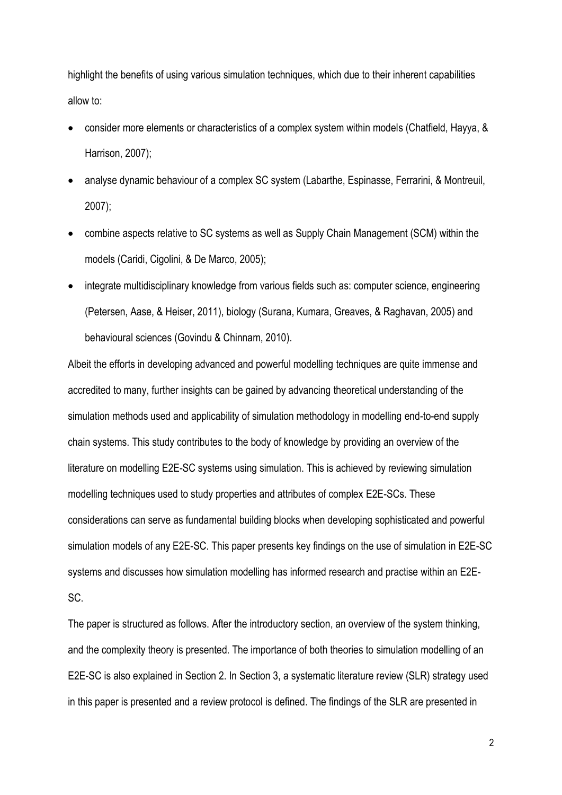highlight the benefits of using various simulation techniques, which due to their inherent capabilities allow to:

- consider more elements or characteristics of a complex system within models (Chatfield, Hayya, & Harrison, 2007);
- analyse dynamic behaviour of a complex SC system (Labarthe, Espinasse, Ferrarini, & Montreuil, 2007);
- combine aspects relative to SC systems as well as Supply Chain Management (SCM) within the models (Caridi, Cigolini, & De Marco, 2005);
- integrate multidisciplinary knowledge from various fields such as: computer science, engineering (Petersen, Aase, & Heiser, 2011), biology (Surana, Kumara, Greaves, & Raghavan, 2005) and behavioural sciences (Govindu & Chinnam, 2010).

Albeit the efforts in developing advanced and powerful modelling techniques are quite immense and accredited to many, further insights can be gained by advancing theoretical understanding of the simulation methods used and applicability of simulation methodology in modelling end-to-end supply chain systems. This study contributes to the body of knowledge by providing an overview of the literature on modelling E2E-SC systems using simulation. This is achieved by reviewing simulation modelling techniques used to study properties and attributes of complex E2E-SCs. These considerations can serve as fundamental building blocks when developing sophisticated and powerful simulation models of any E2E-SC. This paper presents key findings on the use of simulation in E2E-SC systems and discusses how simulation modelling has informed research and practise within an E2E-SC.

The paper is structured as follows. After the introductory section, an overview of the system thinking, and the complexity theory is presented. The importance of both theories to simulation modelling of an E2E-SC is also explained in Section 2. In Section 3, a systematic literature review (SLR) strategy used in this paper is presented and a review protocol is defined. The findings of the SLR are presented in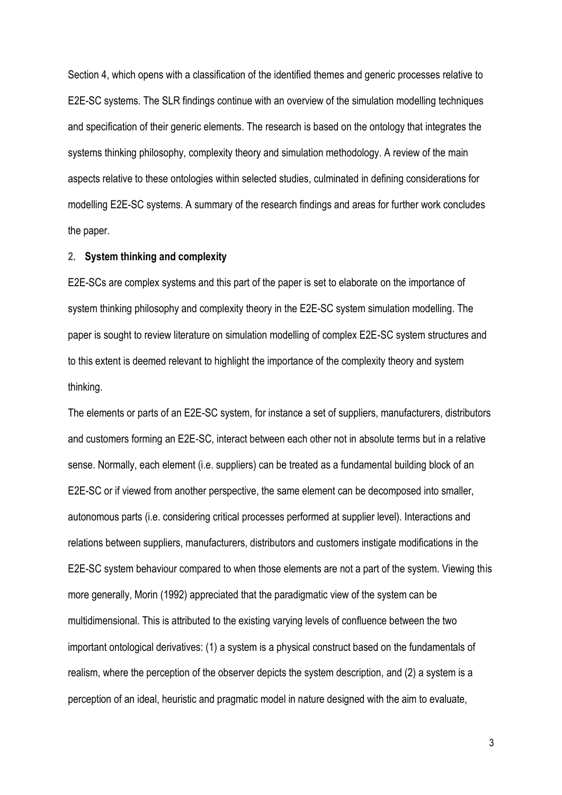Section 4, which opens with a classification of the identified themes and generic processes relative to E2E-SC systems. The SLR findings continue with an overview of the simulation modelling techniques and specification of their generic elements. The research is based on the ontology that integrates the systems thinking philosophy, complexity theory and simulation methodology. A review of the main aspects relative to these ontologies within selected studies, culminated in defining considerations for modelling E2E-SC systems. A summary of the research findings and areas for further work concludes the paper.

### **2. System thinking and complexity**

E2E-SCs are complex systems and this part of the paper is set to elaborate on the importance of system thinking philosophy and complexity theory in the E2E-SC system simulation modelling. The paper is sought to review literature on simulation modelling of complex E2E-SC system structures and to this extent is deemed relevant to highlight the importance of the complexity theory and system thinking.

The elements or parts of an E2E-SC system, for instance a set of suppliers, manufacturers, distributors and customers forming an E2E-SC, interact between each other not in absolute terms but in a relative sense. Normally, each element (i.e. suppliers) can be treated as a fundamental building block of an E2E-SC or if viewed from another perspective, the same element can be decomposed into smaller, autonomous parts (i.e. considering critical processes performed at supplier level). Interactions and relations between suppliers, manufacturers, distributors and customers instigate modifications in the E2E-SC system behaviour compared to when those elements are not a part of the system. Viewing this more generally, Morin (1992) appreciated that the paradigmatic view of the system can be multidimensional. This is attributed to the existing varying levels of confluence between the two important ontological derivatives: (1) a system is a physical construct based on the fundamentals of realism, where the perception of the observer depicts the system description, and (2) a system is a perception of an ideal, heuristic and pragmatic model in nature designed with the aim to evaluate,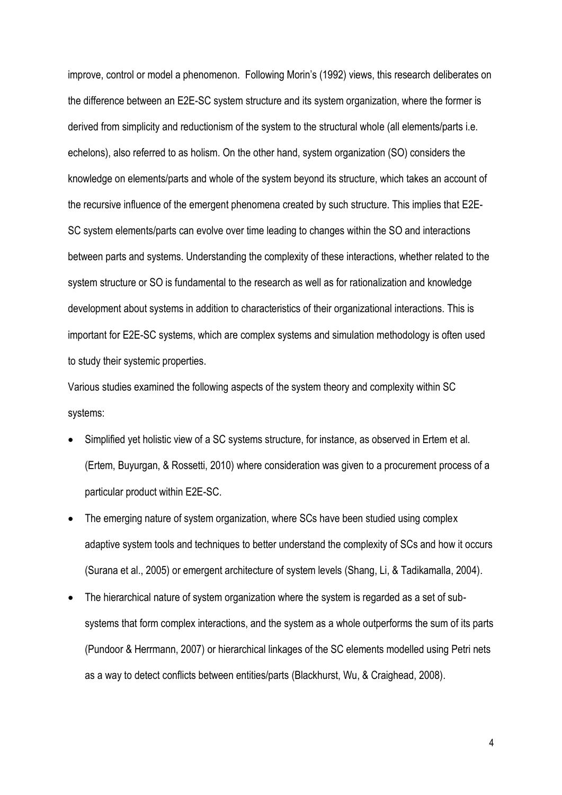improve, control or model a phenomenon. Following Morin's (1992) views, this research deliberates on the difference between an E2E-SC system structure and its system organization, where the former is derived from simplicity and reductionism of the system to the structural whole (all elements/parts i.e. echelons), also referred to as holism. On the other hand, system organization (SO) considers the knowledge on elements/parts and whole of the system beyond its structure, which takes an account of the recursive influence of the emergent phenomena created by such structure. This implies that E2E-SC system elements/parts can evolve over time leading to changes within the SO and interactions between parts and systems. Understanding the complexity of these interactions, whether related to the system structure or SO is fundamental to the research as well as for rationalization and knowledge development about systems in addition to characteristics of their organizational interactions. This is important for E2E-SC systems, which are complex systems and simulation methodology is often used to study their systemic properties.

Various studies examined the following aspects of the system theory and complexity within SC systems:

- Simplified yet holistic view of a SC systems structure, for instance, as observed in Ertem et al. (Ertem, Buyurgan, & Rossetti, 2010) where consideration was given to a procurement process of a particular product within E2E-SC.
- The emerging nature of system organization, where SCs have been studied using complex adaptive system tools and techniques to better understand the complexity of SCs and how it occurs (Surana et al., 2005) or emergent architecture of system levels (Shang, Li, & Tadikamalla, 2004).
- The hierarchical nature of system organization where the system is regarded as a set of subsystems that form complex interactions, and the system as a whole outperforms the sum of its parts (Pundoor & Herrmann, 2007) or hierarchical linkages of the SC elements modelled using Petri nets as a way to detect conflicts between entities/parts (Blackhurst, Wu, & Craighead, 2008).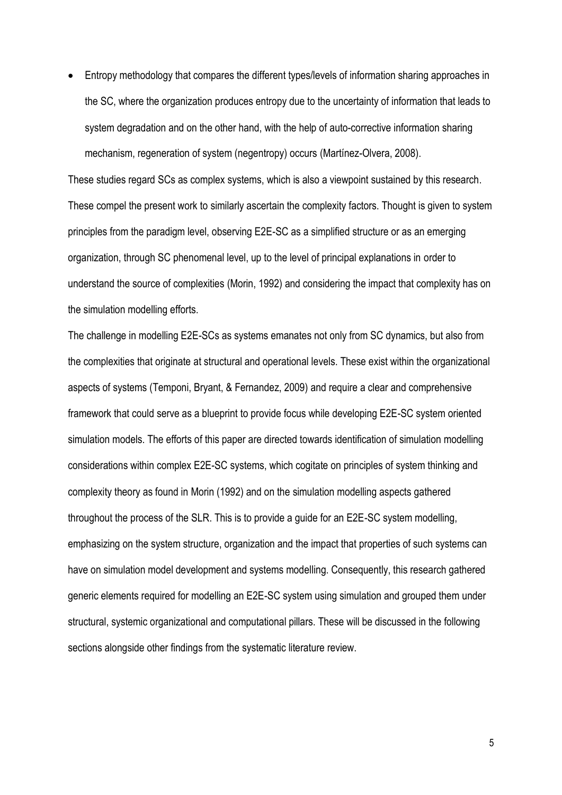• Entropy methodology that compares the different types/levels of information sharing approaches in the SC, where the organization produces entropy due to the uncertainty of information that leads to system degradation and on the other hand, with the help of auto-corrective information sharing mechanism, regeneration of system (negentropy) occurs (Martínez-Olvera, 2008).

These studies regard SCs as complex systems, which is also a viewpoint sustained by this research. These compel the present work to similarly ascertain the complexity factors. Thought is given to system principles from the paradigm level, observing E2E-SC as a simplified structure or as an emerging organization, through SC phenomenal level, up to the level of principal explanations in order to understand the source of complexities (Morin, 1992) and considering the impact that complexity has on the simulation modelling efforts.

The challenge in modelling E2E-SCs as systems emanates not only from SC dynamics, but also from the complexities that originate at structural and operational levels. These exist within the organizational aspects of systems (Temponi, Bryant, & Fernandez, 2009) and require a clear and comprehensive framework that could serve as a blueprint to provide focus while developing E2E-SC system oriented simulation models. The efforts of this paper are directed towards identification of simulation modelling considerations within complex E2E-SC systems, which cogitate on principles of system thinking and complexity theory as found in Morin (1992) and on the simulation modelling aspects gathered throughout the process of the SLR. This is to provide a guide for an E2E-SC system modelling, emphasizing on the system structure, organization and the impact that properties of such systems can have on simulation model development and systems modelling. Consequently, this research gathered generic elements required for modelling an E2E-SC system using simulation and grouped them under structural, systemic organizational and computational pillars. These will be discussed in the following sections alongside other findings from the systematic literature review.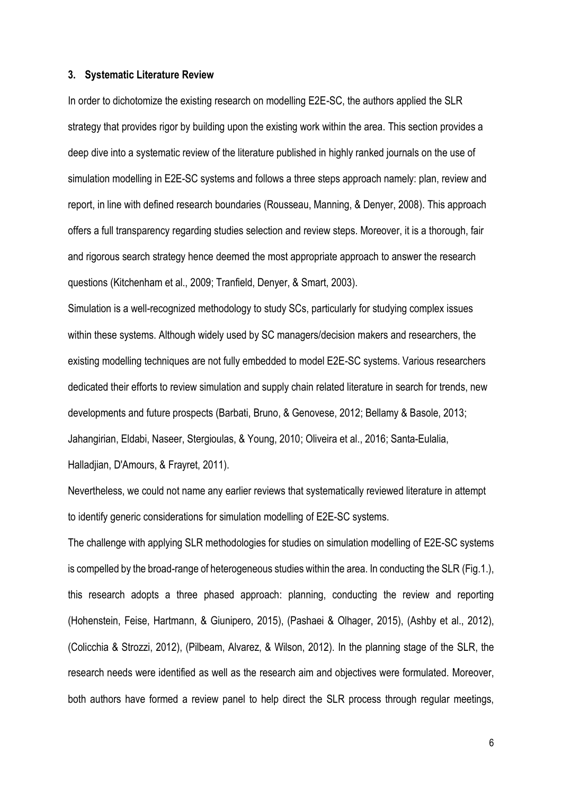### **3. Systematic Literature Review**

In order to dichotomize the existing research on modelling E2E-SC, the authors applied the SLR strategy that provides rigor by building upon the existing work within the area. This section provides a deep dive into a systematic review of the literature published in highly ranked journals on the use of simulation modelling in E2E-SC systems and follows a three steps approach namely: plan, review and report, in line with defined research boundaries (Rousseau, Manning, & Denyer, 2008). This approach offers a full transparency regarding studies selection and review steps. Moreover, it is a thorough, fair and rigorous search strategy hence deemed the most appropriate approach to answer the research questions (Kitchenham et al., 2009; Tranfield, Denyer, & Smart, 2003).

Simulation is a well-recognized methodology to study SCs, particularly for studying complex issues within these systems. Although widely used by SC managers/decision makers and researchers, the existing modelling techniques are not fully embedded to model E2E-SC systems. Various researchers dedicated their efforts to review simulation and supply chain related literature in search for trends, new developments and future prospects (Barbati, Bruno, & Genovese, 2012; Bellamy & Basole, 2013; Jahangirian, Eldabi, Naseer, Stergioulas, & Young, 2010; Oliveira et al., 2016; Santa-Eulalia, Halladjian, D'Amours, & Frayret, 2011).

Nevertheless, we could not name any earlier reviews that systematically reviewed literature in attempt to identify generic considerations for simulation modelling of E2E-SC systems.

The challenge with applying SLR methodologies for studies on simulation modelling of E2E-SC systems is compelled by the broad-range of heterogeneous studies within the area. In conducting the SLR (Fig.1.), this research adopts a three phased approach: planning, conducting the review and reporting (Hohenstein, Feise, Hartmann, & Giunipero, 2015), (Pashaei & Olhager, 2015), (Ashby et al., 2012), (Colicchia & Strozzi, 2012), (Pilbeam, Alvarez, & Wilson, 2012). In the planning stage of the SLR, the research needs were identified as well as the research aim and objectives were formulated. Moreover, both authors have formed a review panel to help direct the SLR process through regular meetings,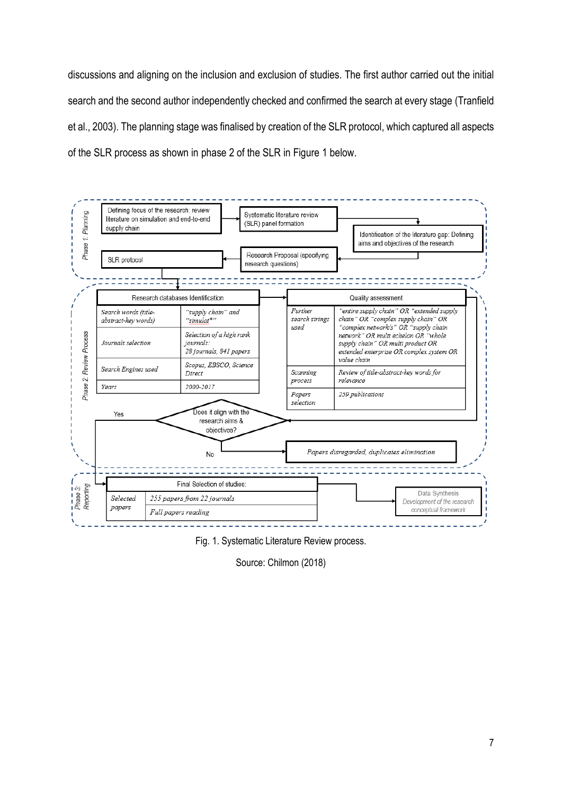discussions and aligning on the inclusion and exclusion of studies. The first author carried out the initial search and the second author independently checked and confirmed the search at every stage (Tranfield et al., 2003). The planning stage was finalised by creation of the SLR protocol, which captured all aspects of the SLR process as shown in phase 2 of the SLR in Figure 1 below.



Fig. 1. Systematic Literature Review process.

Source: Chilmon (2018)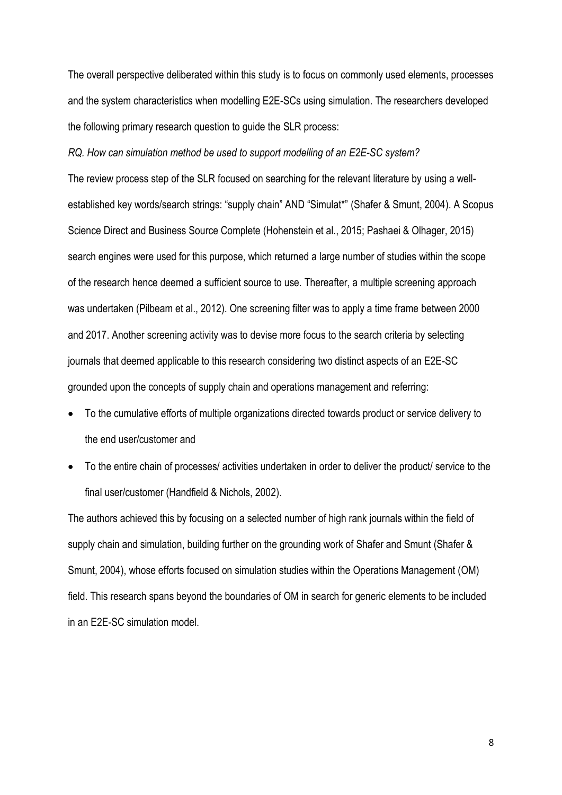The overall perspective deliberated within this study is to focus on commonly used elements, processes and the system characteristics when modelling E2E-SCs using simulation. The researchers developed the following primary research question to guide the SLR process:

*RQ. How can simulation method be used to support modelling of an E2E-SC system?*

The review process step of the SLR focused on searching for the relevant literature by using a wellestablished key words/search strings: "supply chain" AND "Simulat\*" (Shafer & Smunt, 2004). A Scopus Science Direct and Business Source Complete (Hohenstein et al., 2015; Pashaei & Olhager, 2015) search engines were used for this purpose, which returned a large number of studies within the scope of the research hence deemed a sufficient source to use. Thereafter, a multiple screening approach was undertaken (Pilbeam et al., 2012). One screening filter was to apply a time frame between 2000 and 2017. Another screening activity was to devise more focus to the search criteria by selecting journals that deemed applicable to this research considering two distinct aspects of an E2E-SC grounded upon the concepts of supply chain and operations management and referring:

- To the cumulative efforts of multiple organizations directed towards product or service delivery to the end user/customer and
- To the entire chain of processes/ activities undertaken in order to deliver the product/ service to the final user/customer (Handfield & Nichols, 2002).

The authors achieved this by focusing on a selected number of high rank journals within the field of supply chain and simulation, building further on the grounding work of Shafer and Smunt (Shafer & Smunt, 2004), whose efforts focused on simulation studies within the Operations Management (OM) field. This research spans beyond the boundaries of OM in search for generic elements to be included in an E2E-SC simulation model.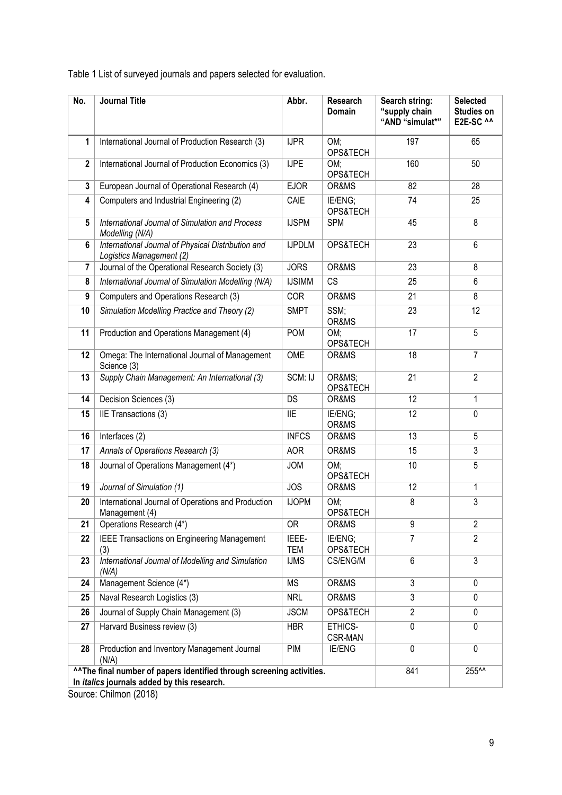Table 1 List of surveyed journals and papers selected for evaluation.

| No.            | <b>Journal Title</b>                                                                                                       | Abbr.          | Research<br>Domain  | Search string:<br>"supply chain<br>"AND "simulat*" | <b>Selected</b><br>Studies on<br>E2E-SC ^^ |
|----------------|----------------------------------------------------------------------------------------------------------------------------|----------------|---------------------|----------------------------------------------------|--------------------------------------------|
| 1              | International Journal of Production Research (3)                                                                           | <b>IJPR</b>    | OM;<br>OPS&TECH     | 197                                                | 65                                         |
| $\overline{2}$ | International Journal of Production Economics (3)                                                                          | <b>IJPE</b>    | OM;<br>OPS&TECH     | 160                                                | 50                                         |
| 3              | European Journal of Operational Research (4)                                                                               | <b>EJOR</b>    | OR&MS               | 82                                                 | 28                                         |
| 4              | Computers and Industrial Engineering (2)                                                                                   | CAIE           | IE/ENG;<br>OPS&TECH | 74                                                 | 25                                         |
| 5              | International Journal of Simulation and Process<br>Modelling (N/A)                                                         | <b>IJSPM</b>   | <b>SPM</b>          | 45                                                 | 8                                          |
| 6              | International Journal of Physical Distribution and<br>Logistics Management (2)                                             | <b>IJPDLM</b>  | OPS&TECH            | 23                                                 | 6                                          |
| 7              | Journal of the Operational Research Society (3)                                                                            | <b>JORS</b>    | OR&MS               | 23                                                 | 8                                          |
| 8              | International Journal of Simulation Modelling (N/A)                                                                        | <b>IJSIMM</b>  | <b>CS</b>           | 25                                                 | 6                                          |
| 9              | Computers and Operations Research (3)                                                                                      | COR            | OR&MS               | 21                                                 | 8                                          |
| 10             | Simulation Modelling Practice and Theory (2)                                                                               | <b>SMPT</b>    | SSM;<br>OR&MS       | 23                                                 | 12                                         |
| 11             | Production and Operations Management (4)                                                                                   | POM            | OM;<br>OPS&TECH     | 17                                                 | 5                                          |
| 12             | Omega: The International Journal of Management<br>Science (3)                                                              | OME            | OR&MS               | 18                                                 | $\overline{7}$                             |
| 13             | Supply Chain Management: An International (3)                                                                              | SCM: IJ        | OR&MS<br>OPS&TECH   | $\overline{21}$                                    | $\overline{2}$                             |
| 14             | Decision Sciences (3)                                                                                                      | <b>DS</b>      | OR&MS               | 12                                                 | 1                                          |
| 15             | IIE Transactions (3)                                                                                                       | $\mathsf{IIE}$ | IE/ENG;<br>OR&MS    | 12                                                 | 0                                          |
| 16             | Interfaces (2)                                                                                                             | <b>INFCS</b>   | OR&MS               | 13                                                 | 5                                          |
| 17             | Annals of Operations Research (3)                                                                                          | <b>AOR</b>     | OR&MS               | 15                                                 | 3                                          |
| 18             | Journal of Operations Management (4*)                                                                                      | <b>JOM</b>     | OM:<br>OPS&TECH     | 10                                                 | 5                                          |
| 19             | Journal of Simulation (1)                                                                                                  | <b>JOS</b>     | OR&MS               | 12                                                 | 1                                          |
| 20             | International Journal of Operations and Production<br>Management (4)                                                       | <b>IJOPM</b>   | OM;<br>OPS&TECH     | 8                                                  | 3                                          |
| 21             | Operations Research (4*)                                                                                                   | 0R             | OR&MS               | 9                                                  | $\overline{2}$                             |
| 22             | <b>IEEE Transactions on Engineering Management</b><br>(3)                                                                  | IEEE-<br>TEM   | IE/ENG;<br>OPS&TECH | 7                                                  | $\overline{2}$                             |
| 23             | International Journal of Modelling and Simulation<br>(N/A)                                                                 | <b>IJMS</b>    | CS/ENG/M            | 6                                                  | 3                                          |
| 24             | Management Science (4*)                                                                                                    | MS             | OR&MS               | 3                                                  | $\pmb{0}$                                  |
| 25             | Naval Research Logistics (3)                                                                                               | <b>NRL</b>     | OR&MS               | 3                                                  | 0                                          |
| 26             | Journal of Supply Chain Management (3)                                                                                     | <b>JSCM</b>    | OPS&TECH            | $\overline{2}$                                     | 0                                          |
| 27             | Harvard Business review (3)                                                                                                | <b>HBR</b>     | ETHICS-<br>CSR-MAN  | $\mathbf 0$                                        | 0                                          |
| 28             | Production and Inventory Management Journal<br>(N/A)                                                                       | PIM            | <b>IE/ENG</b>       | $\mathbf 0$                                        | 0                                          |
|                | "The final number of papers identified through screening activities.<br>In <i>italics</i> journals added by this research. |                |                     | 841                                                | 255^^                                      |

Source: Chilmon (2018)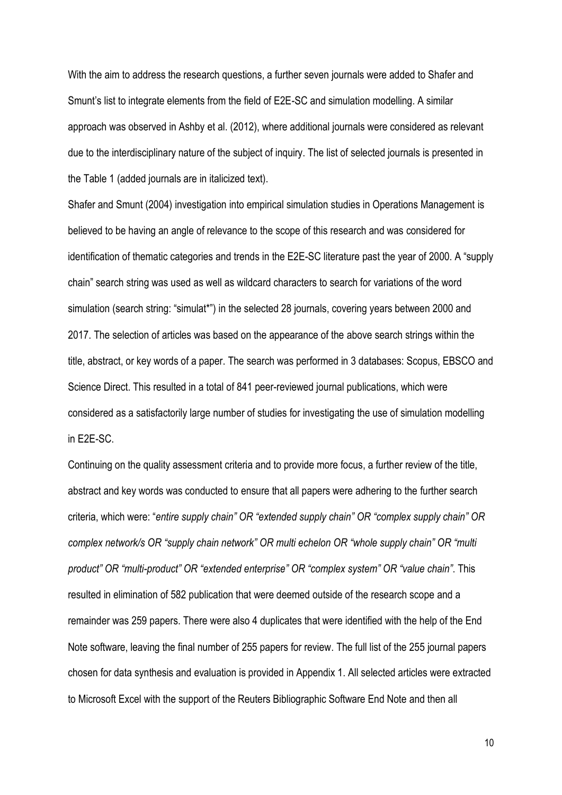With the aim to address the research questions, a further seven journals were added to Shafer and Smunt's list to integrate elements from the field of E2E-SC and simulation modelling. A similar approach was observed in Ashby et al. (2012), where additional journals were considered as relevant due to the interdisciplinary nature of the subject of inquiry. The list of selected journals is presented in the Table 1 (added journals are in italicized text).

Shafer and Smunt (2004) investigation into empirical simulation studies in Operations Management is believed to be having an angle of relevance to the scope of this research and was considered for identification of thematic categories and trends in the E2E-SC literature past the year of 2000. A "supply chain" search string was used as well as wildcard characters to search for variations of the word simulation (search string: "simulat\*") in the selected 28 journals, covering years between 2000 and 2017. The selection of articles was based on the appearance of the above search strings within the title, abstract, or key words of a paper. The search was performed in 3 databases: Scopus, EBSCO and Science Direct. This resulted in a total of 841 peer-reviewed journal publications, which were considered as a satisfactorily large number of studies for investigating the use of simulation modelling in E2E-SC.

Continuing on the quality assessment criteria and to provide more focus, a further review of the title, abstract and key words was conducted to ensure that all papers were adhering to the further search criteria, which were: "*entire supply chain" OR "extended supply chain" OR "complex supply chain" OR complex network/s OR "supply chain network" OR multi echelon OR "whole supply chain" OR "multi product" OR "multi-product" OR "extended enterprise" OR "complex system" OR "value chain"*. This resulted in elimination of 582 publication that were deemed outside of the research scope and a remainder was 259 papers. There were also 4 duplicates that were identified with the help of the End Note software, leaving the final number of 255 papers for review. The full list of the 255 journal papers chosen for data synthesis and evaluation is provided in Appendix 1. All selected articles were extracted to Microsoft Excel with the support of the Reuters Bibliographic Software End Note and then all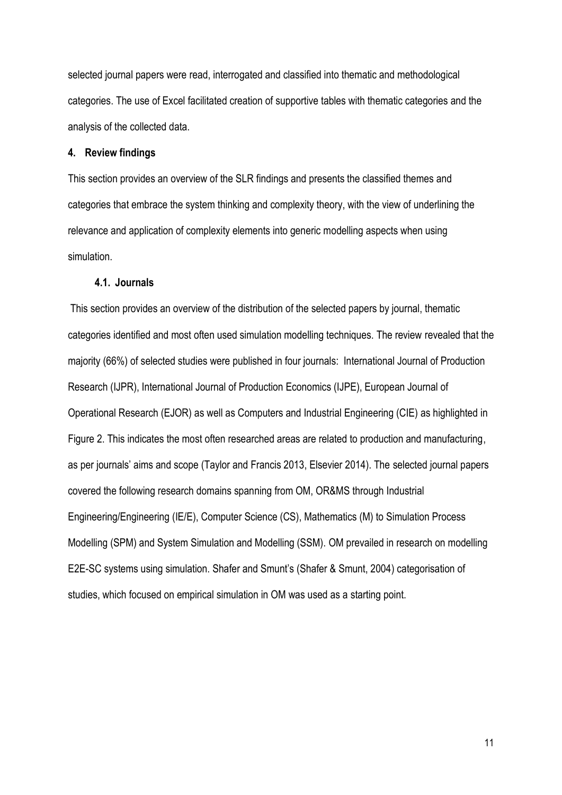selected journal papers were read, interrogated and classified into thematic and methodological categories. The use of Excel facilitated creation of supportive tables with thematic categories and the analysis of the collected data.

## **4. Review findings**

This section provides an overview of the SLR findings and presents the classified themes and categories that embrace the system thinking and complexity theory, with the view of underlining the relevance and application of complexity elements into generic modelling aspects when using simulation.

### **4.1. Journals**

This section provides an overview of the distribution of the selected papers by journal, thematic categories identified and most often used simulation modelling techniques. The review revealed that the majority (66%) of selected studies were published in four journals: International Journal of Production Research (IJPR), International Journal of Production Economics (IJPE), European Journal of Operational Research (EJOR) as well as Computers and Industrial Engineering (CIE) as highlighted in Figure 2. This indicates the most often researched areas are related to production and manufacturing, as per journals' aims and scope (Taylor and Francis 2013, Elsevier 2014). The selected journal papers covered the following research domains spanning from OM, OR&MS through Industrial Engineering/Engineering (IE/E), Computer Science (CS), Mathematics (M) to Simulation Process Modelling (SPM) and System Simulation and Modelling (SSM). OM prevailed in research on modelling E2E-SC systems using simulation. Shafer and Smunt's (Shafer & Smunt, 2004) categorisation of studies, which focused on empirical simulation in OM was used as a starting point.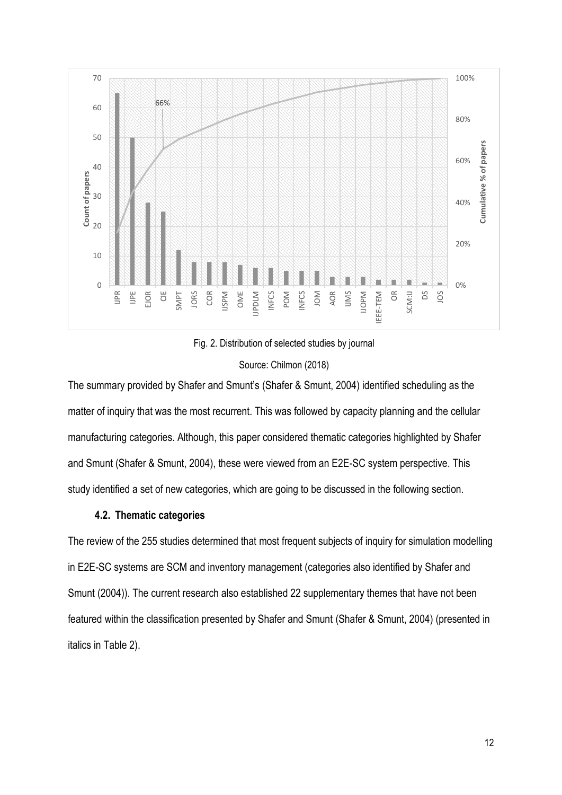





The summary provided by Shafer and Smunt's (Shafer & Smunt, 2004) identified scheduling as the matter of inquiry that was the most recurrent. This was followed by capacity planning and the cellular manufacturing categories. Although, this paper considered thematic categories highlighted by Shafer and Smunt (Shafer & Smunt, 2004), these were viewed from an E2E-SC system perspective. This study identified a set of new categories, which are going to be discussed in the following section.

# **4.2. Thematic categories**

The review of the 255 studies determined that most frequent subjects of inquiry for simulation modelling in E2E-SC systems are SCM and inventory management (categories also identified by Shafer and Smunt (2004)). The current research also established 22 supplementary themes that have not been featured within the classification presented by Shafer and Smunt (Shafer & Smunt, 2004) (presented in italics in Table 2).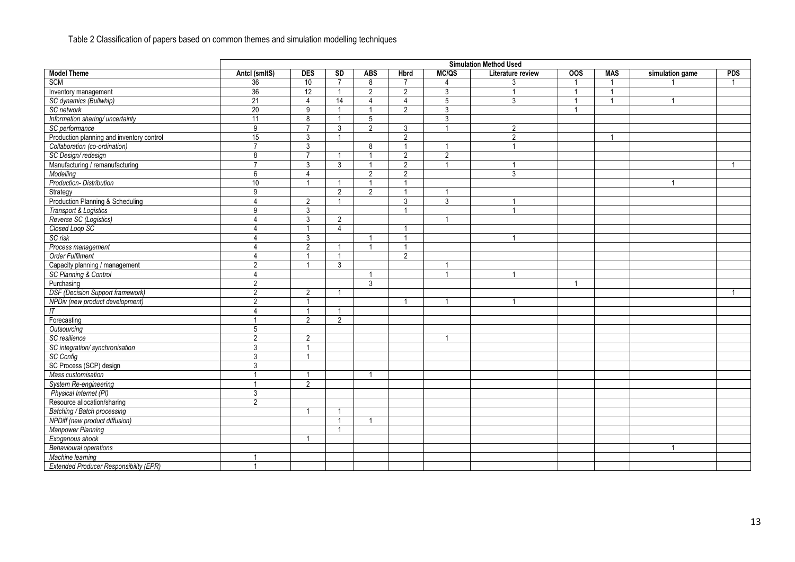# Table 2 Classification of papers based on common themes and simulation modelling techniques

|                                               | <b>Simulation Method Used</b> |                |                         |                         |                |                |                   |                  |                |                          |            |
|-----------------------------------------------|-------------------------------|----------------|-------------------------|-------------------------|----------------|----------------|-------------------|------------------|----------------|--------------------------|------------|
| <b>Model Theme</b>                            | Antcl (smltS)                 | <b>DES</b>     | <b>SD</b>               | <b>ABS</b>              | <b>Hbrd</b>    | MC/QS          | Literature review | $\overline{OOS}$ | <b>MAS</b>     | simulation game          | <b>PDS</b> |
| <b>SCM</b>                                    | 36                            | 10             | $\overline{7}$          | 8                       | $\overline{7}$ |                | 3                 | $\overline{1}$   |                |                          |            |
| Inventory management                          | 36                            | 12             | $\overline{1}$          | $\overline{2}$          | 2              | $\mathfrak{Z}$ | $\overline{1}$    | $\overline{1}$   | $\overline{1}$ |                          |            |
| SC dynamics (Bullwhip)                        | 21                            | $\overline{4}$ | 14                      | $\overline{4}$          | $\overline{4}$ | $\overline{5}$ | 3                 | $\overline{1}$   | $\overline{1}$ | $\overline{1}$           |            |
| SC network                                    | 20                            | 9              | -1                      | $\overline{\mathbf{1}}$ | $\overline{2}$ | 3              |                   | -1               |                |                          |            |
| Information sharing/ uncertainty              | 11                            | $\overline{8}$ |                         | 5                       |                | $\overline{3}$ |                   |                  |                |                          |            |
| SC performance                                | 9                             | $\overline{7}$ | 3                       | $\overline{2}$          | 3              |                | 2                 |                  |                |                          |            |
| Production planning and inventory control     | 15                            | $\mathbf{3}$   | -1                      |                         | 2              |                | 2                 |                  | $\overline{1}$ |                          |            |
| Collaboration (co-ordination)                 | $\overline{7}$                | 3              |                         | 8                       | $\overline{1}$ |                | $\overline{ }$    |                  |                |                          |            |
| SC Design/redesign                            | 8                             | $\overline{7}$ | -1                      | $\overline{\mathbf{1}}$ | $\overline{2}$ | $\overline{2}$ |                   |                  |                |                          |            |
| Manufacturing / remanufacturing               | $\overline{7}$                | 3              | 3                       |                         | 2              | $\overline{1}$ | $\overline{1}$    |                  |                |                          |            |
| Modelling                                     | 6                             | 4              |                         | $\overline{2}$          | $\overline{2}$ |                | 3                 |                  |                |                          |            |
| Production-Distribution                       | 10                            | $\overline{1}$ |                         |                         | $\overline{1}$ |                |                   |                  |                | $\overline{\phantom{a}}$ |            |
| Strategy                                      | 9                             |                | $\mathfrak{D}$          | $\overline{2}$          | -1             | -1             |                   |                  |                |                          |            |
| Production Planning & Scheduling              | $\overline{\mathbf{4}}$       | $\overline{2}$ | $\overline{\mathbf{1}}$ |                         | $\mathbf{3}$   | $\overline{3}$ | -1                |                  |                |                          |            |
| Transport & Logistics                         | 9                             | $\mathbf{3}$   |                         |                         | $\mathbf{1}$   |                | $\overline{1}$    |                  |                |                          |            |
| Reverse SC (Logistics)                        | 4                             | 3              | $\overline{2}$          |                         |                | $\overline{1}$ |                   |                  |                |                          |            |
| Closed Loop SC                                | $\overline{4}$                | $\overline{1}$ | $\Delta$                |                         |                |                |                   |                  |                |                          |            |
| SC risk                                       | $\overline{4}$                | 3              |                         |                         | $\overline{1}$ |                | $\overline{1}$    |                  |                |                          |            |
| Process management                            | $\overline{4}$                | 2              | $\mathbf{1}$            |                         |                |                |                   |                  |                |                          |            |
| Order Fulfilment                              | $\overline{4}$                | $\mathbf{1}$   | $\overline{1}$          |                         | 2              |                |                   |                  |                |                          |            |
| Capacity planning / management                | $\overline{2}$                | $\overline{1}$ | 3                       |                         |                |                |                   |                  |                |                          |            |
| SC Planning & Control                         | $\overline{4}$                |                |                         | -1                      |                | -1             | -1                |                  |                |                          |            |
| Purchasing                                    | $\overline{2}$                |                |                         | 3                       |                |                |                   | $\mathbf{1}$     |                |                          |            |
| <b>DSF</b> (Decision Support framework)       | $\overline{2}$                | 2              | $\overline{1}$          |                         |                |                |                   |                  |                |                          |            |
| NPDiv (new product development)               | $\overline{2}$                | $\mathbf{1}$   |                         |                         | -1             | -1             | -1                |                  |                |                          |            |
| IT                                            | $\overline{4}$                | $\mathbf{1}$   | -1                      |                         |                |                |                   |                  |                |                          |            |
| Forecasting                                   | $\overline{1}$                | $\overline{2}$ | $\overline{2}$          |                         |                |                |                   |                  |                |                          |            |
| Outsourcing                                   | 5                             |                |                         |                         |                |                |                   |                  |                |                          |            |
| SC resilience                                 | $\overline{2}$                | $\overline{2}$ |                         |                         |                | $\overline{1}$ |                   |                  |                |                          |            |
| SC integration/synchronisation                | 3                             | $\mathbf{1}$   |                         |                         |                |                |                   |                  |                |                          |            |
| SC Config                                     | $\overline{3}$                | $\overline{1}$ |                         |                         |                |                |                   |                  |                |                          |            |
| SC Process (SCP) design                       | 3                             |                |                         |                         |                |                |                   |                  |                |                          |            |
| Mass customisation                            | $\overline{1}$                | $\overline{1}$ |                         |                         |                |                |                   |                  |                |                          |            |
| System Re-engineering                         | $\overline{1}$                | $\overline{2}$ |                         |                         |                |                |                   |                  |                |                          |            |
| Physical Internet (PI)                        | $\mathbf{3}$                  |                |                         |                         |                |                |                   |                  |                |                          |            |
| Resource allocation/sharing                   | $\overline{2}$                |                |                         |                         |                |                |                   |                  |                |                          |            |
| Batching / Batch processing                   |                               | -1             | -1                      |                         |                |                |                   |                  |                |                          |            |
| NPDiff (new product diffusion)                |                               |                | -1                      | $\overline{1}$          |                |                |                   |                  |                |                          |            |
| <b>Manpower Planning</b>                      |                               |                |                         |                         |                |                |                   |                  |                |                          |            |
| Exogenous shock                               |                               |                |                         |                         |                |                |                   |                  |                |                          |            |
| <b>Behavioural operations</b>                 |                               |                |                         |                         |                |                |                   |                  |                | $\overline{1}$           |            |
| Machine learning                              | 1                             |                |                         |                         |                |                |                   |                  |                |                          |            |
| <b>Extended Producer Responsibility (EPR)</b> |                               |                |                         |                         |                |                |                   |                  |                |                          |            |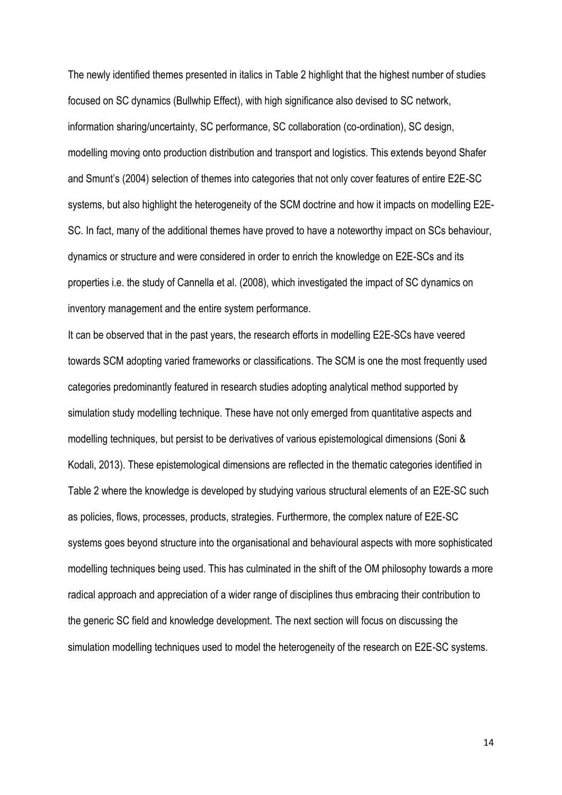The newly identified themes presented in italics in Table 2 highlight that the highest number of studies focused on SC dynamics (Bullwhip Effect), with high significance also devised to SC network, information sharing/uncertainty, SC performance, SC collaboration (co-ordination), SC design, modelling moving onto production distribution and transport and logistics. This extends beyond Shafer and Smunt's (2004) selection of themes into categories that not only cover features of entire E2E-SC systems, but also highlight the heterogeneity of the SCM doctrine and how it impacts on modelling E2E-SC. In fact, many of the additional themes have proved to have a noteworthy impact on SCs behaviour, dynamics or structure and were considered in order to enrich the knowledge on E2E-SCs and its properties i.e. the study of Cannella et al. (2008), which investigated the impact of SC dynamics on inventory management and the entire system performance.

It can be observed that in the past years, the research efforts in modelling E2E-SCs have veered towards SCM adopting varied frameworks or classifications. The SCM is one the most frequently used categories predominantly featured in research studies adopting analytical method supported by simulation study modelling technique. These have not only emerged from quantitative aspects and modelling techniques, but persist to be derivatives of various epistemological dimensions (Soni & Kodali, 2013). These epistemological dimensions are reflected in the thematic categories identified in Table 2 where the knowledge is developed by studying various structural elements of an E2E-SC such as policies, flows, processes, products, strategies. Furthermore, the complex nature of E2E-SC systems goes beyond structure into the organisational and behavioural aspects with more sophisticated modelling techniques being used. This has culminated in the shift of the OM philosophy towards a more radical approach and appreciation of a wider range of disciplines thus embracing their contribution to the generic SC field and knowledge development. The next section will focus on discussing the simulation modelling techniques used to model the heterogeneity of the research on E2E-SC systems.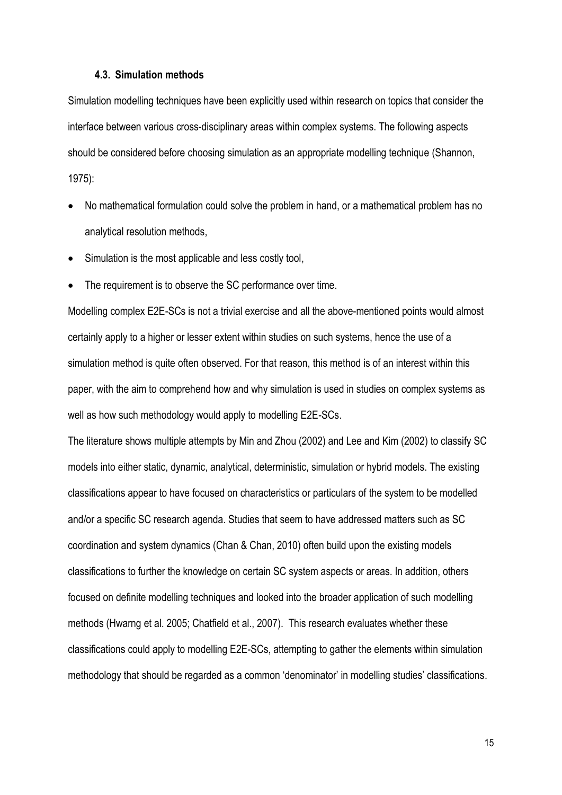### **4.3. Simulation methods**

Simulation modelling techniques have been explicitly used within research on topics that consider the interface between various cross-disciplinary areas within complex systems. The following aspects should be considered before choosing simulation as an appropriate modelling technique (Shannon, 1975):

- No mathematical formulation could solve the problem in hand, or a mathematical problem has no analytical resolution methods,
- Simulation is the most applicable and less costly tool,
- The requirement is to observe the SC performance over time.

Modelling complex E2E-SCs is not a trivial exercise and all the above-mentioned points would almost certainly apply to a higher or lesser extent within studies on such systems, hence the use of a simulation method is quite often observed. For that reason, this method is of an interest within this paper, with the aim to comprehend how and why simulation is used in studies on complex systems as well as how such methodology would apply to modelling E2E-SCs.

The literature shows multiple attempts by Min and Zhou (2002) and Lee and Kim (2002) to classify SC models into either static, dynamic, analytical, deterministic, simulation or hybrid models. The existing classifications appear to have focused on characteristics or particulars of the system to be modelled and/or a specific SC research agenda. Studies that seem to have addressed matters such as SC coordination and system dynamics (Chan & Chan, 2010) often build upon the existing models classifications to further the knowledge on certain SC system aspects or areas. In addition, others focused on definite modelling techniques and looked into the broader application of such modelling methods (Hwarng et al. 2005; Chatfield et al., 2007). This research evaluates whether these classifications could apply to modelling E2E-SCs, attempting to gather the elements within simulation methodology that should be regarded as a common 'denominator' in modelling studies' classifications.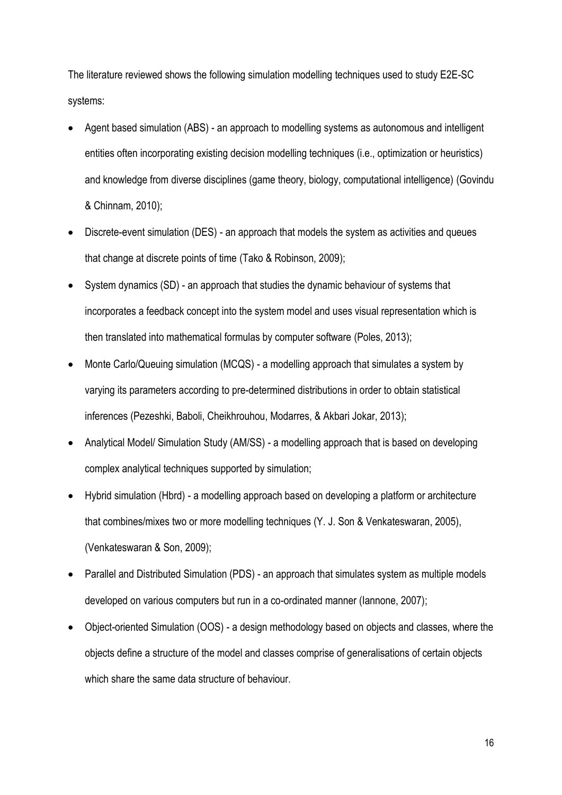The literature reviewed shows the following simulation modelling techniques used to study E2E-SC systems:

- Agent based simulation (ABS) an approach to modelling systems as autonomous and intelligent entities often incorporating existing decision modelling techniques (i.e., optimization or heuristics) and knowledge from diverse disciplines (game theory, biology, computational intelligence) (Govindu & Chinnam, 2010);
- Discrete-event simulation (DES) an approach that models the system as activities and queues that change at discrete points of time (Tako & Robinson, 2009);
- System dynamics (SD) an approach that studies the dynamic behaviour of systems that incorporates a feedback concept into the system model and uses visual representation which is then translated into mathematical formulas by computer software (Poles, 2013);
- Monte Carlo/Queuing simulation (MCQS) a modelling approach that simulates a system by varying its parameters according to pre-determined distributions in order to obtain statistical inferences (Pezeshki, Baboli, Cheikhrouhou, Modarres, & Akbari Jokar, 2013);
- Analytical Model/ Simulation Study (AM/SS) a modelling approach that is based on developing complex analytical techniques supported by simulation;
- Hybrid simulation (Hbrd) a modelling approach based on developing a platform or architecture that combines/mixes two or more modelling techniques (Y. J. Son & Venkateswaran, 2005), (Venkateswaran & Son, 2009);
- Parallel and Distributed Simulation (PDS) an approach that simulates system as multiple models developed on various computers but run in a co-ordinated manner (Iannone, 2007);
- Object-oriented Simulation (OOS) a design methodology based on objects and classes, where the objects define a structure of the model and classes comprise of generalisations of certain objects which share the same data structure of behaviour.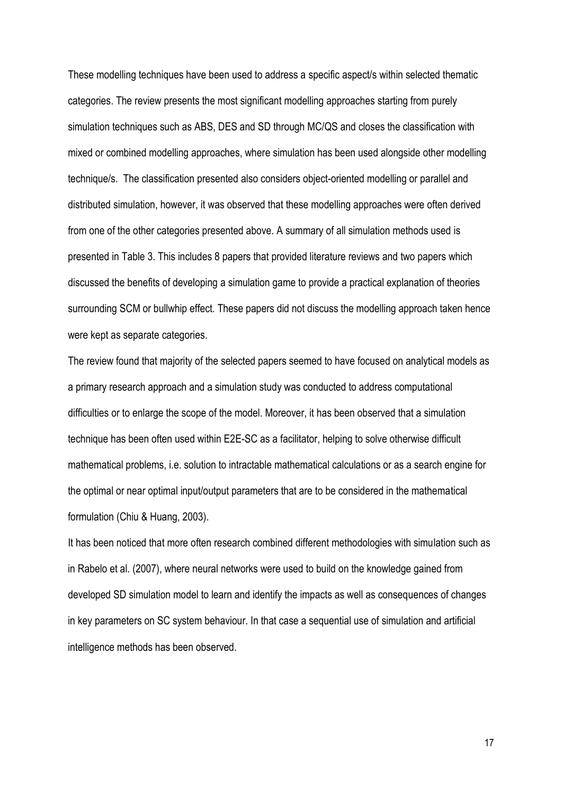These modelling techniques have been used to address a specific aspect/s within selected thematic categories. The review presents the most significant modelling approaches starting from purely simulation techniques such as ABS, DES and SD through MC/QS and closes the classification with mixed or combined modelling approaches, where simulation has been used alongside other modelling technique/s. The classification presented also considers object-oriented modelling or parallel and distributed simulation, however, it was observed that these modelling approaches were often derived from one of the other categories presented above. A summary of all simulation methods used is presented in Table 3. This includes 8 papers that provided literature reviews and two papers which discussed the benefits of developing a simulation game to provide a practical explanation of theories surrounding SCM or bullwhip effect. These papers did not discuss the modelling approach taken hence were kept as separate categories.

The review found that majority of the selected papers seemed to have focused on analytical models as a primary research approach and a simulation study was conducted to address computational difficulties or to enlarge the scope of the model. Moreover, it has been observed that a simulation technique has been often used within E2E-SC as a facilitator, helping to solve otherwise difficult mathematical problems, i.e. solution to intractable mathematical calculations or as a search engine for the optimal or near optimal input/output parameters that are to be considered in the mathematical formulation (Chiu & Huang, 2003).

It has been noticed that more often research combined different methodologies with simulation such as in Rabelo et al. (2007), where neural networks were used to build on the knowledge gained from developed SD simulation model to learn and identify the impacts as well as consequences of changes in key parameters on SC system behaviour. In that case a sequential use of simulation and artificial intelligence methods has been observed.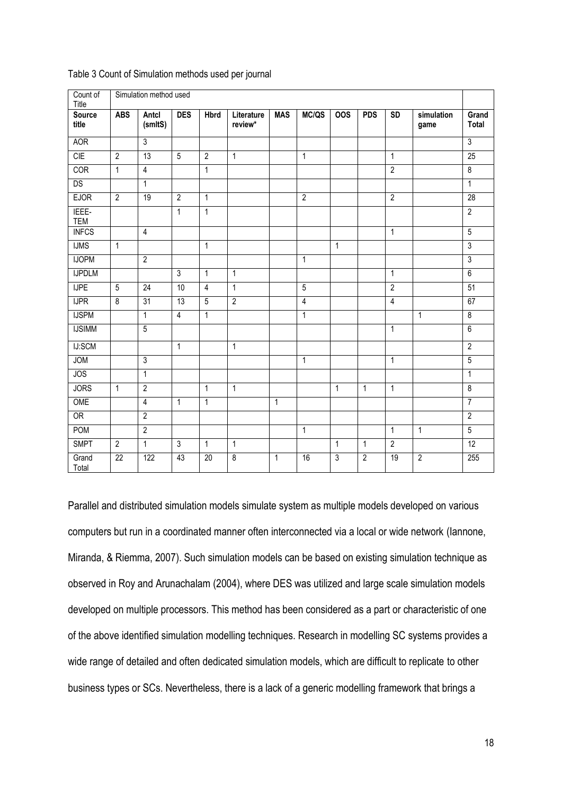| Count of<br>Title      |                 | Simulation method used |                 |                |                       |              |                |              |                |                 |                    |                         |
|------------------------|-----------------|------------------------|-----------------|----------------|-----------------------|--------------|----------------|--------------|----------------|-----------------|--------------------|-------------------------|
| <b>Source</b><br>title | <b>ABS</b>      | Antcl<br>(smltS)       | <b>DES</b>      | <b>Hbrd</b>    | Literature<br>review* | <b>MAS</b>   | MC/QS          | <b>OOS</b>   | <b>PDS</b>     | $\overline{SD}$ | simulation<br>game | Grand<br><b>Total</b>   |
| <b>AOR</b>             |                 | 3                      |                 |                |                       |              |                |              |                |                 |                    | $\overline{3}$          |
| CIE                    | $\overline{2}$  | $\overline{13}$        | 5               | $\overline{2}$ | $\mathbf{1}$          |              | $\mathbf{1}$   |              |                | $\overline{1}$  |                    | 25                      |
| COR                    | $\mathbf{1}$    | $\overline{4}$         |                 | $\mathbf{1}$   |                       |              |                |              |                | $\overline{2}$  |                    | $\overline{8}$          |
| DS                     |                 | $\mathbf{1}$           |                 |                |                       |              |                |              |                |                 |                    | $\mathbf{1}$            |
| <b>EJOR</b>            | $\overline{2}$  | 19                     | $\overline{2}$  | $\mathbf{1}$   |                       |              | $\overline{2}$ |              |                | $\overline{2}$  |                    | 28                      |
| IEEE-<br>TEM           |                 |                        | $\overline{1}$  | $\mathbf{1}$   |                       |              |                |              |                |                 |                    | $\overline{2}$          |
| <b>INFCS</b>           |                 | $\overline{4}$         |                 |                |                       |              |                |              |                | $\mathbf{1}$    |                    | $\overline{5}$          |
| <b>IJMS</b>            | $\mathbf{1}$    |                        |                 | $\mathbf{1}$   |                       |              |                | $\mathbf{1}$ |                |                 |                    | 3                       |
| <b>IJOPM</b>           |                 | $\overline{2}$         |                 |                |                       |              | $\mathbf{1}$   |              |                |                 |                    | 3                       |
| <b>IJPDLM</b>          |                 |                        | $\overline{3}$  | $\overline{1}$ | $\mathbf{1}$          |              |                |              |                | $\mathbf{1}$    |                    | $\overline{6}$          |
| <b>IJPE</b>            | $\overline{5}$  | $\overline{24}$        | 10              | $\overline{4}$ | $\overline{1}$        |              | $\overline{5}$ |              |                | $\overline{2}$  |                    | $\overline{51}$         |
| <b>IJPR</b>            | $\overline{8}$  | $\overline{31}$        | $\overline{13}$ | $\overline{5}$ | $\overline{2}$        |              | $\overline{4}$ |              |                | $\overline{4}$  |                    | 67                      |
| <b>IJSPM</b>           |                 | $\mathbf{1}$           | $\overline{4}$  | $\overline{1}$ |                       |              | $\mathbf{1}$   |              |                |                 | $\mathbf{1}$       | $\overline{\mathbf{8}}$ |
| <b>IJSIMM</b>          |                 | $\overline{5}$         |                 |                |                       |              |                |              |                | $\mathbf{1}$    |                    | $\overline{6}$          |
| IJ:SCM                 |                 |                        | $\mathbf{1}$    |                | $\mathbf{1}$          |              |                |              |                |                 |                    | $\overline{2}$          |
| <b>JOM</b>             |                 | $\overline{3}$         |                 |                |                       |              | $\mathbf{1}$   |              |                | $\overline{1}$  |                    | $\overline{5}$          |
| JOS                    |                 | $\overline{1}$         |                 |                |                       |              |                |              |                |                 |                    | $\mathbf{1}$            |
| <b>JORS</b>            | $\mathbf{1}$    | $\overline{2}$         |                 | $\overline{1}$ | $\overline{1}$        |              |                | $\mathbf{1}$ | $\overline{1}$ | $\overline{1}$  |                    | $\overline{\mathbf{8}}$ |
| OME                    |                 | $\overline{4}$         | $\overline{1}$  | $\overline{1}$ |                       | $\mathbf{1}$ |                |              |                |                 |                    | $\overline{7}$          |
| OR                     |                 | $\overline{2}$         |                 |                |                       |              |                |              |                |                 |                    | $\overline{2}$          |
| POM                    |                 | $\overline{2}$         |                 |                |                       |              | $\mathbf{1}$   |              |                | $\mathbf{1}$    | $\mathbf{1}$       | $\overline{5}$          |
| <b>SMPT</b>            | $\overline{2}$  | $\mathbf{1}$           | $\mathfrak{Z}$  | $\mathbf{1}$   | $\mathbf{1}$          |              |                | $\mathbf{1}$ | $\mathbf{1}$   | $\overline{2}$  |                    | 12                      |
| Grand<br>Total         | $\overline{22}$ | 122                    | 43              | 20             | $\overline{8}$        | $\mathbf{1}$ | 16             | 3            | $\overline{2}$ | 19              | $\overline{2}$     | 255                     |

Table 3 Count of Simulation methods used per journal

Parallel and distributed simulation models simulate system as multiple models developed on various computers but run in a coordinated manner often interconnected via a local or wide network (Iannone, Miranda, & Riemma, 2007). Such simulation models can be based on existing simulation technique as observed in Roy and Arunachalam (2004), where DES was utilized and large scale simulation models developed on multiple processors. This method has been considered as a part or characteristic of one of the above identified simulation modelling techniques. Research in modelling SC systems provides a wide range of detailed and often dedicated simulation models, which are difficult to replicate to other business types or SCs. Nevertheless, there is a lack of a generic modelling framework that brings a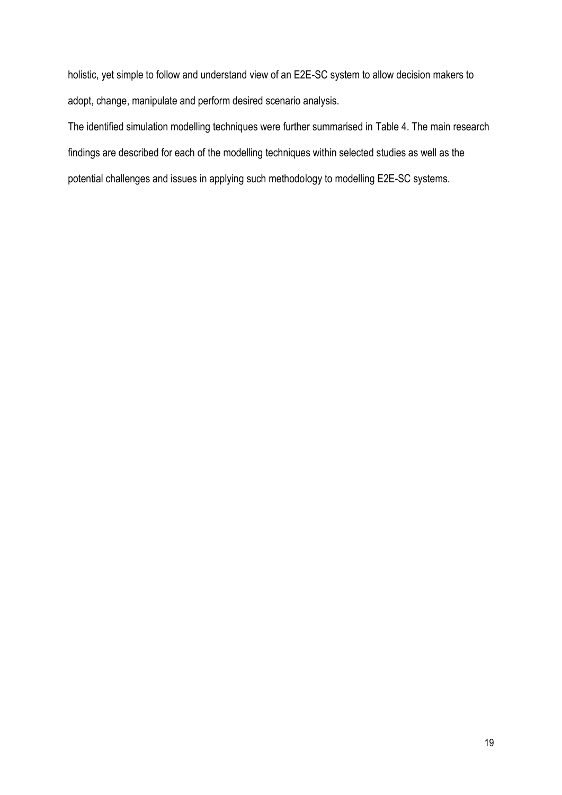holistic, yet simple to follow and understand view of an E2E-SC system to allow decision makers to adopt, change, manipulate and perform desired scenario analysis.

The identified simulation modelling techniques were further summarised in Table 4. The main research findings are described for each of the modelling techniques within selected studies as well as the potential challenges and issues in applying such methodology to modelling E2E-SC systems.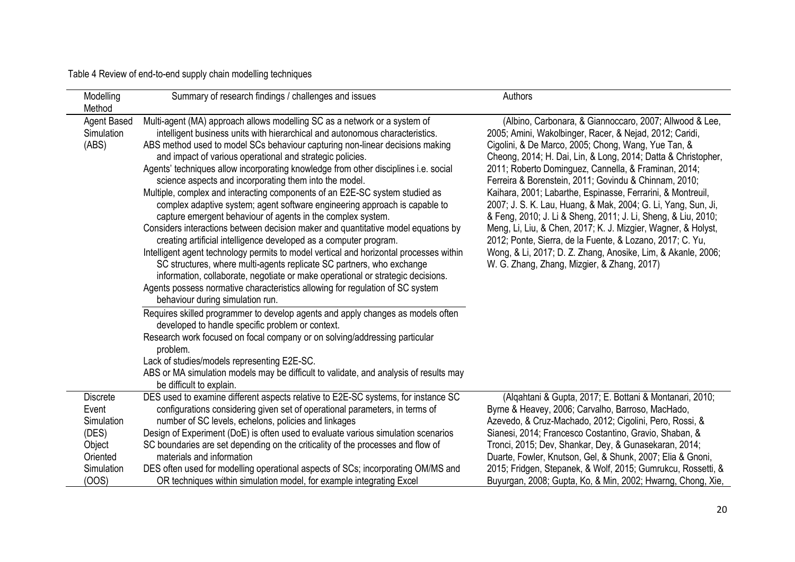Table 4 Review of end-to-end supply chain modelling techniques

| Modelling<br>Method                                                                          | Summary of research findings / challenges and issues                                                                                                                                                                                                                                                                                                                                                                                                                                                                                                                                                                                                                                                                                                                                                                                                                                                                                                                                                                                                                                                                                                                                                                                                                                                        | Authors                                                                                                                                                                                                                                                                                                                                                                                                                                                                                                                                                                                                                                                                                                                                                                                                   |
|----------------------------------------------------------------------------------------------|-------------------------------------------------------------------------------------------------------------------------------------------------------------------------------------------------------------------------------------------------------------------------------------------------------------------------------------------------------------------------------------------------------------------------------------------------------------------------------------------------------------------------------------------------------------------------------------------------------------------------------------------------------------------------------------------------------------------------------------------------------------------------------------------------------------------------------------------------------------------------------------------------------------------------------------------------------------------------------------------------------------------------------------------------------------------------------------------------------------------------------------------------------------------------------------------------------------------------------------------------------------------------------------------------------------|-----------------------------------------------------------------------------------------------------------------------------------------------------------------------------------------------------------------------------------------------------------------------------------------------------------------------------------------------------------------------------------------------------------------------------------------------------------------------------------------------------------------------------------------------------------------------------------------------------------------------------------------------------------------------------------------------------------------------------------------------------------------------------------------------------------|
| Agent Based<br>Simulation<br>(ABS)                                                           | Multi-agent (MA) approach allows modelling SC as a network or a system of<br>intelligent business units with hierarchical and autonomous characteristics.<br>ABS method used to model SCs behaviour capturing non-linear decisions making<br>and impact of various operational and strategic policies.<br>Agents' techniques allow incorporating knowledge from other disciplines i.e. social<br>science aspects and incorporating them into the model.<br>Multiple, complex and interacting components of an E2E-SC system studied as<br>complex adaptive system; agent software engineering approach is capable to<br>capture emergent behaviour of agents in the complex system.<br>Considers interactions between decision maker and quantitative model equations by<br>creating artificial intelligence developed as a computer program.<br>Intelligent agent technology permits to model vertical and horizontal processes within<br>SC structures, where multi-agents replicate SC partners, who exchange<br>information, collaborate, negotiate or make operational or strategic decisions.<br>Agents possess normative characteristics allowing for regulation of SC system<br>behaviour during simulation run.<br>Requires skilled programmer to develop agents and apply changes as models often | (Albino, Carbonara, & Giannoccaro, 2007; Allwood & Lee,<br>2005; Amini, Wakolbinger, Racer, & Nejad, 2012; Caridi,<br>Cigolini, & De Marco, 2005; Chong, Wang, Yue Tan, &<br>Cheong, 2014; H. Dai, Lin, & Long, 2014; Datta & Christopher,<br>2011; Roberto Dominguez, Cannella, & Framinan, 2014;<br>Ferreira & Borenstein, 2011; Govindu & Chinnam, 2010;<br>Kaihara, 2001; Labarthe, Espinasse, Ferrarini, & Montreuil,<br>2007; J. S. K. Lau, Huang, & Mak, 2004; G. Li, Yang, Sun, Ji,<br>& Feng, 2010; J. Li & Sheng, 2011; J. Li, Sheng, & Liu, 2010;<br>Meng, Li, Liu, & Chen, 2017; K. J. Mizgier, Wagner, & Holyst,<br>2012; Ponte, Sierra, de la Fuente, & Lozano, 2017; C. Yu,<br>Wong, & Li, 2017; D. Z. Zhang, Anosike, Lim, & Akanle, 2006;<br>W. G. Zhang, Zhang, Mizgier, & Zhang, 2017) |
|                                                                                              | developed to handle specific problem or context.<br>Research work focused on focal company or on solving/addressing particular<br>problem.<br>Lack of studies/models representing E2E-SC.<br>ABS or MA simulation models may be difficult to validate, and analysis of results may<br>be difficult to explain.                                                                                                                                                                                                                                                                                                                                                                                                                                                                                                                                                                                                                                                                                                                                                                                                                                                                                                                                                                                              |                                                                                                                                                                                                                                                                                                                                                                                                                                                                                                                                                                                                                                                                                                                                                                                                           |
| <b>Discrete</b><br>Event<br>Simulation<br>(DES)<br>Object<br>Oriented<br>Simulation<br>(OOS) | DES used to examine different aspects relative to E2E-SC systems, for instance SC<br>configurations considering given set of operational parameters, in terms of<br>number of SC levels, echelons, policies and linkages<br>Design of Experiment (DoE) is often used to evaluate various simulation scenarios<br>SC boundaries are set depending on the criticality of the processes and flow of<br>materials and information<br>DES often used for modelling operational aspects of SCs; incorporating OM/MS and<br>OR techniques within simulation model, for example integrating Excel                                                                                                                                                                                                                                                                                                                                                                                                                                                                                                                                                                                                                                                                                                                   | (Alqahtani & Gupta, 2017; E. Bottani & Montanari, 2010;<br>Byrne & Heavey, 2006; Carvalho, Barroso, MacHado,<br>Azevedo, & Cruz-Machado, 2012; Cigolini, Pero, Rossi, &<br>Sianesi, 2014; Francesco Costantino, Gravio, Shaban, &<br>Tronci, 2015; Dev, Shankar, Dey, & Gunasekaran, 2014;<br>Duarte, Fowler, Knutson, Gel, & Shunk, 2007; Elia & Gnoni,<br>2015; Fridgen, Stepanek, & Wolf, 2015; Gumrukcu, Rossetti, &<br>Buyurgan, 2008; Gupta, Ko, & Min, 2002; Hwarng, Chong, Xie,                                                                                                                                                                                                                                                                                                                   |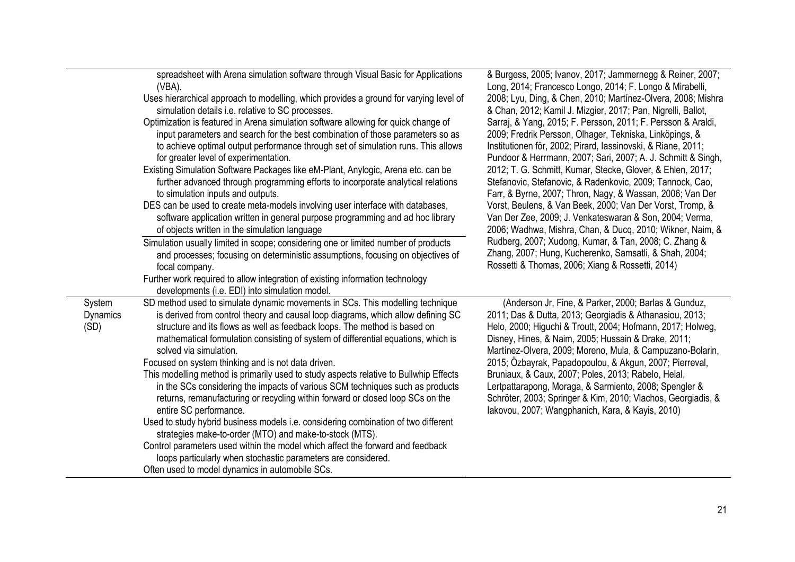|                                   | spreadsheet with Arena simulation software through Visual Basic for Applications<br>(VBA).<br>Uses hierarchical approach to modelling, which provides a ground for varying level of<br>simulation details i.e. relative to SC processes.<br>Optimization is featured in Arena simulation software allowing for quick change of<br>input parameters and search for the best combination of those parameters so as<br>to achieve optimal output performance through set of simulation runs. This allows<br>for greater level of experimentation.<br>Existing Simulation Software Packages like eM-Plant, Anylogic, Arena etc. can be<br>further advanced through programming efforts to incorporate analytical relations<br>to simulation inputs and outputs.<br>DES can be used to create meta-models involving user interface with databases,<br>software application written in general purpose programming and ad hoc library<br>of objects written in the simulation language<br>Simulation usually limited in scope; considering one or limited number of products<br>and processes; focusing on deterministic assumptions, focusing on objectives of<br>focal company.<br>Further work required to allow integration of existing information technology | & Burgess, 2005; Ivanov, 2017; Jammernegg & Reiner, 2007;<br>Long, 2014; Francesco Longo, 2014; F. Longo & Mirabelli,<br>2008; Lyu, Ding, & Chen, 2010; Martínez-Olvera, 2008; Mishra<br>& Chan, 2012; Kamil J. Mizgier, 2017; Pan, Nigrelli, Ballot,<br>Sarraj, & Yang, 2015; F. Persson, 2011; F. Persson & Araldi,<br>2009; Fredrik Persson, Olhager, Tekniska, Linköpings, &<br>Institutionen för, 2002; Pirard, lassinovski, & Riane, 2011;<br>Pundoor & Herrmann, 2007; Sari, 2007; A. J. Schmitt & Singh,<br>2012; T. G. Schmitt, Kumar, Stecke, Glover, & Ehlen, 2017;<br>Stefanovic, Stefanovic, & Radenkovic, 2009; Tannock, Cao,<br>Farr, & Byrne, 2007; Thron, Nagy, & Wassan, 2006; Van Der<br>Vorst, Beulens, & Van Beek, 2000; Van Der Vorst, Tromp, &<br>Van Der Zee, 2009; J. Venkateswaran & Son, 2004; Verma,<br>2006; Wadhwa, Mishra, Chan, & Ducq, 2010; Wikner, Naim, &<br>Rudberg, 2007; Xudong, Kumar, & Tan, 2008; C. Zhang &<br>Zhang, 2007; Hung, Kucherenko, Samsatli, & Shah, 2004;<br>Rossetti & Thomas, 2006; Xiang & Rossetti, 2014) |
|-----------------------------------|--------------------------------------------------------------------------------------------------------------------------------------------------------------------------------------------------------------------------------------------------------------------------------------------------------------------------------------------------------------------------------------------------------------------------------------------------------------------------------------------------------------------------------------------------------------------------------------------------------------------------------------------------------------------------------------------------------------------------------------------------------------------------------------------------------------------------------------------------------------------------------------------------------------------------------------------------------------------------------------------------------------------------------------------------------------------------------------------------------------------------------------------------------------------------------------------------------------------------------------------------------------|----------------------------------------------------------------------------------------------------------------------------------------------------------------------------------------------------------------------------------------------------------------------------------------------------------------------------------------------------------------------------------------------------------------------------------------------------------------------------------------------------------------------------------------------------------------------------------------------------------------------------------------------------------------------------------------------------------------------------------------------------------------------------------------------------------------------------------------------------------------------------------------------------------------------------------------------------------------------------------------------------------------------------------------------------------------------|
| System<br><b>Dynamics</b><br>(SD) | developments (i.e. EDI) into simulation model.<br>SD method used to simulate dynamic movements in SCs. This modelling technique<br>is derived from control theory and causal loop diagrams, which allow defining SC<br>structure and its flows as well as feedback loops. The method is based on<br>mathematical formulation consisting of system of differential equations, which is<br>solved via simulation.<br>Focused on system thinking and is not data driven.<br>This modelling method is primarily used to study aspects relative to Bullwhip Effects<br>in the SCs considering the impacts of various SCM techniques such as products<br>returns, remanufacturing or recycling within forward or closed loop SCs on the<br>entire SC performance.<br>Used to study hybrid business models i.e. considering combination of two different<br>strategies make-to-order (MTO) and make-to-stock (MTS).<br>Control parameters used within the model which affect the forward and feedback<br>loops particularly when stochastic parameters are considered.<br>Often used to model dynamics in automobile SCs.                                                                                                                                           | (Anderson Jr, Fine, & Parker, 2000; Barlas & Gunduz,<br>2011; Das & Dutta, 2013; Georgiadis & Athanasiou, 2013;<br>Helo, 2000; Higuchi & Troutt, 2004; Hofmann, 2017; Holweg,<br>Disney, Hines, & Naim, 2005; Hussain & Drake, 2011;<br>Martínez-Olvera, 2009; Moreno, Mula, & Campuzano-Bolarin,<br>2015; Ozbayrak, Papadopoulou, & Akgun, 2007; Pierreval,<br>Bruniaux, & Caux, 2007; Poles, 2013; Rabelo, Helal,<br>Lertpattarapong, Moraga, & Sarmiento, 2008; Spengler &<br>Schröter, 2003; Springer & Kim, 2010; Vlachos, Georgiadis, &<br>lakovou, 2007; Wangphanich, Kara, & Kayis, 2010)                                                                                                                                                                                                                                                                                                                                                                                                                                                                    |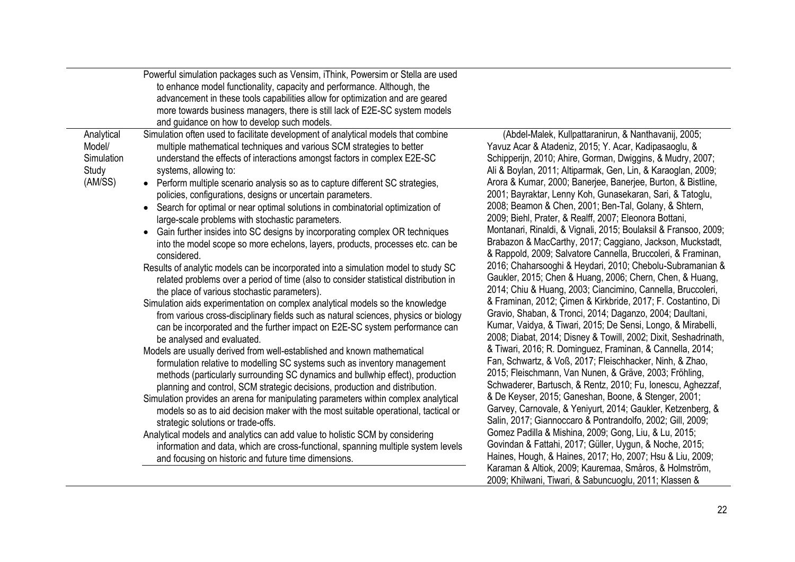|                                                        | Powerful simulation packages such as Vensim, iThink, Powersim or Stella are used<br>to enhance model functionality, capacity and performance. Although, the<br>advancement in these tools capabilities allow for optimization and are geared<br>more towards business managers, there is still lack of E2E-SC system models<br>and guidance on how to develop such models.                                                                                                                                                                                                                                                                                                                                                                                                                                                                                                                                                                                                                                                                                                                                                                                                                                                                                                                                                                                                                                                                                                                                                                                                                                                                                                                                                                                                                                                                                                                                                                                                                                                          |                                                                                                                                                                                                                                                                                                                                                                                                                                                                                                                                                                                                                                                                                                                                                                                                                                                                                                                                                                                                                                                                                                                                                                                                                                                                                                                                                                                                                                                                                                                                                                                                                                                                                                                                                                                                                                      |
|--------------------------------------------------------|-------------------------------------------------------------------------------------------------------------------------------------------------------------------------------------------------------------------------------------------------------------------------------------------------------------------------------------------------------------------------------------------------------------------------------------------------------------------------------------------------------------------------------------------------------------------------------------------------------------------------------------------------------------------------------------------------------------------------------------------------------------------------------------------------------------------------------------------------------------------------------------------------------------------------------------------------------------------------------------------------------------------------------------------------------------------------------------------------------------------------------------------------------------------------------------------------------------------------------------------------------------------------------------------------------------------------------------------------------------------------------------------------------------------------------------------------------------------------------------------------------------------------------------------------------------------------------------------------------------------------------------------------------------------------------------------------------------------------------------------------------------------------------------------------------------------------------------------------------------------------------------------------------------------------------------------------------------------------------------------------------------------------------------|--------------------------------------------------------------------------------------------------------------------------------------------------------------------------------------------------------------------------------------------------------------------------------------------------------------------------------------------------------------------------------------------------------------------------------------------------------------------------------------------------------------------------------------------------------------------------------------------------------------------------------------------------------------------------------------------------------------------------------------------------------------------------------------------------------------------------------------------------------------------------------------------------------------------------------------------------------------------------------------------------------------------------------------------------------------------------------------------------------------------------------------------------------------------------------------------------------------------------------------------------------------------------------------------------------------------------------------------------------------------------------------------------------------------------------------------------------------------------------------------------------------------------------------------------------------------------------------------------------------------------------------------------------------------------------------------------------------------------------------------------------------------------------------------------------------------------------------|
| Analytical<br>Model/<br>Simulation<br>Study<br>(AM/SS) | Simulation often used to facilitate development of analytical models that combine<br>multiple mathematical techniques and various SCM strategies to better<br>understand the effects of interactions amongst factors in complex E2E-SC<br>systems, allowing to:<br>• Perform multiple scenario analysis so as to capture different SC strategies,<br>policies, configurations, designs or uncertain parameters.<br>• Search for optimal or near optimal solutions in combinatorial optimization of<br>large-scale problems with stochastic parameters.<br>• Gain further insides into SC designs by incorporating complex OR techniques<br>into the model scope so more echelons, layers, products, processes etc. can be<br>considered.<br>Results of analytic models can be incorporated into a simulation model to study SC<br>related problems over a period of time (also to consider statistical distribution in<br>the place of various stochastic parameters).<br>Simulation aids experimentation on complex analytical models so the knowledge<br>from various cross-disciplinary fields such as natural sciences, physics or biology<br>can be incorporated and the further impact on E2E-SC system performance can<br>be analysed and evaluated.<br>Models are usually derived from well-established and known mathematical<br>formulation relative to modelling SC systems such as inventory management<br>methods (particularly surrounding SC dynamics and bullwhip effect), production<br>planning and control, SCM strategic decisions, production and distribution.<br>Simulation provides an arena for manipulating parameters within complex analytical<br>models so as to aid decision maker with the most suitable operational, tactical or<br>strategic solutions or trade-offs.<br>Analytical models and analytics can add value to holistic SCM by considering<br>information and data, which are cross-functional, spanning multiple system levels<br>and focusing on historic and future time dimensions. | (Abdel-Malek, Kullpattaranirun, & Nanthavanij, 2005;<br>Yavuz Acar & Atadeniz, 2015; Y. Acar, Kadipasaoglu, &<br>Schipperijn, 2010; Ahire, Gorman, Dwiggins, & Mudry, 2007;<br>Ali & Boylan, 2011; Altiparmak, Gen, Lin, & Karaoglan, 2009;<br>Arora & Kumar, 2000; Banerjee, Banerjee, Burton, & Bistline,<br>2001; Bayraktar, Lenny Koh, Gunasekaran, Sari, & Tatoglu,<br>2008; Beamon & Chen, 2001; Ben-Tal, Golany, & Shtern,<br>2009; Biehl, Prater, & Realff, 2007; Eleonora Bottani,<br>Montanari, Rinaldi, & Vignali, 2015; Boulaksil & Fransoo, 2009;<br>Brabazon & MacCarthy, 2017; Caggiano, Jackson, Muckstadt,<br>& Rappold, 2009; Salvatore Cannella, Bruccoleri, & Framinan,<br>2016; Chaharsooghi & Heydari, 2010; Chebolu-Subramanian &<br>Gaukler, 2015; Chen & Huang, 2006; Chern, Chen, & Huang,<br>2014; Chiu & Huang, 2003; Ciancimino, Cannella, Bruccoleri,<br>& Framinan, 2012; Çimen & Kirkbride, 2017; F. Costantino, Di<br>Gravio, Shaban, & Tronci, 2014; Daganzo, 2004; Daultani,<br>Kumar, Vaidya, & Tiwari, 2015; De Sensi, Longo, & Mirabelli,<br>2008; Diabat, 2014; Disney & Towill, 2002; Dixit, Seshadrinath,<br>& Tiwari, 2016; R. Dominguez, Framinan, & Cannella, 2014;<br>Fan, Schwartz, & Voß, 2017; Fleischhacker, Ninh, & Zhao,<br>2015; Fleischmann, Van Nunen, & Gräve, 2003; Fröhling,<br>Schwaderer, Bartusch, & Rentz, 2010; Fu, Ionescu, Aghezzaf,<br>& De Keyser, 2015; Ganeshan, Boone, & Stenger, 2001;<br>Garvey, Carnovale, & Yeniyurt, 2014; Gaukler, Ketzenberg, &<br>Salin, 2017; Giannoccaro & Pontrandolfo, 2002; Gill, 2009;<br>Gomez Padilla & Mishina, 2009; Gong, Liu, & Lu, 2015;<br>Govindan & Fattahi, 2017; Güller, Uygun, & Noche, 2015;<br>Haines, Hough, & Haines, 2017; Ho, 2007; Hsu & Liu, 2009;<br>Karaman & Altiok, 2009; Kauremaa, Småros, & Holmström, |
|                                                        |                                                                                                                                                                                                                                                                                                                                                                                                                                                                                                                                                                                                                                                                                                                                                                                                                                                                                                                                                                                                                                                                                                                                                                                                                                                                                                                                                                                                                                                                                                                                                                                                                                                                                                                                                                                                                                                                                                                                                                                                                                     | 2009; Khilwani, Tiwari, & Sabuncuoglu, 2011; Klassen &                                                                                                                                                                                                                                                                                                                                                                                                                                                                                                                                                                                                                                                                                                                                                                                                                                                                                                                                                                                                                                                                                                                                                                                                                                                                                                                                                                                                                                                                                                                                                                                                                                                                                                                                                                               |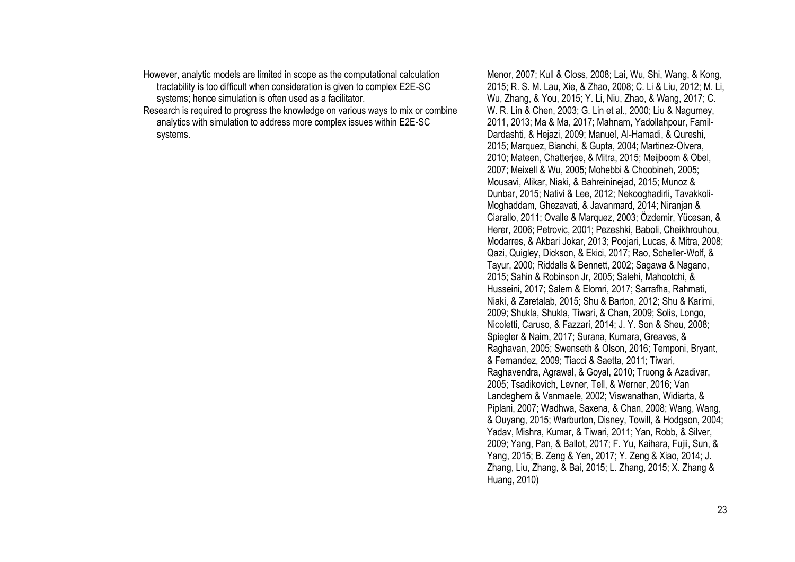However, analytic models are limited in scope as the computational calculation tractability is too difficult when consideration is given to complex E2E-SC systems; hence simulation is often used as a facilitator.

Research is required to progress the knowledge on various ways to mix or combine analytics with simulation to address more complex issues within E2E-SC systems.

Menor, 2007; Kull & Closs, 2008; Lai, Wu, Shi, Wang, & Kong, 2015; R. S. M. Lau, Xie, & Zhao, 2008; C. Li & Liu, 2012; M. Li, Wu, Zhang, & You, 2015; Y. Li, Niu, Zhao, & Wang, 2017; C. W. R. Lin & Chen, 2003; G. Lin et al., 2000; Liu & Nagurney, 2011, 2013; Ma & Ma, 2017; Mahnam, Yadollahpour, Famil-Dardashti, & Hejazi, 2009; Manuel, Al-Hamadi, & Qureshi, 2015; Marquez, Bianchi, & Gupta, 2004; Martinez-Olvera, 2010; Mateen, Chatterjee, & Mitra, 2015; Meijboom & Obel, 2007; Meixell & Wu, 2005; Mohebbi & Choobineh, 2005; Mousavi, Alikar, Niaki, & Bahreininejad, 2015; Munoz & Dunbar, 2015; Nativi & Lee, 2012; Nekooghadirli, Tavakkoli-Moghaddam, Ghezavati, & Javanmard, 2014; Niranjan & Ciarallo, 2011; Ovalle & Marquez, 2003; Özdemir, Yücesan, & Herer, 2006; Petrovic, 2001; Pezeshki, Baboli, Cheikhrouhou, Modarres, & Akbari Jokar, 2013; Poojari, Lucas, & Mitra, 2008; Qazi, Quigley, Dickson, & Ekici, 2017; Rao, Scheller-Wolf, & Tayur, 2000; Riddalls & Bennett, 2002; Sagawa & Nagano, 2015; Sahin & Robinson Jr, 2005; Salehi, Mahootchi, & Husseini, 2017; Salem & Elomri, 2017; Sarrafha, Rahmati, Niaki, & Zaretalab, 2015; Shu & Barton, 2012; Shu & Karimi, 2009; Shukla, Shukla, Tiwari, & Chan, 2009; Solis, Longo, Nicoletti, Caruso, & Fazzari, 2014; J. Y. Son & Sheu, 2008; Spiegler & Naim, 2017; Surana, Kumara, Greaves, & Raghavan, 2005; Swenseth & Olson, 2016; Temponi, Bryant, & Fernandez, 2009; Tiacci & Saetta, 2011; Tiwari, Raghavendra, Agrawal, & Goyal, 2010; Truong & Azadivar, 2005; Tsadikovich, Levner, Tell, & Werner, 2016; Van Landeghem & Vanmaele, 2002; Viswanathan, Widiarta, & Piplani, 2007; Wadhwa, Saxena, & Chan, 2008; Wang, Wang, & Ouyang, 2015; Warburton, Disney, Towill, & Hodgson, 2004; Yadav, Mishra, Kumar, & Tiwari, 2011; Yan, Robb, & Silver, 2009; Yang, Pan, & Ballot, 2017; F. Yu, Kaihara, Fujii, Sun, & Yang, 2015; B. Zeng & Yen, 2017; Y. Zeng & Xiao, 2014; J. Zhang, Liu, Zhang, & Bai, 2015; L. Zhang, 2015; X. Zhang & Huang, 2010)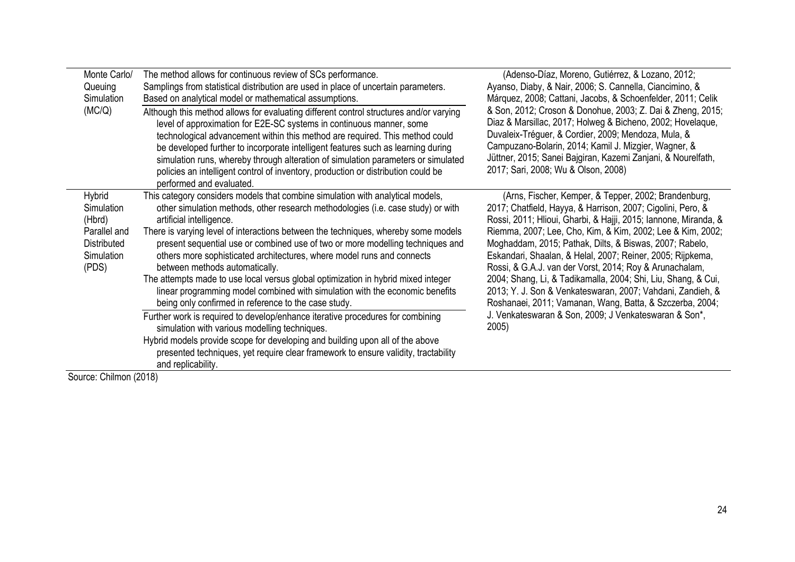| Monte Carlo/<br>Queuing<br>Simulation                                                       | The method allows for continuous review of SCs performance.<br>Samplings from statistical distribution are used in place of uncertain parameters.<br>Based on analytical model or mathematical assumptions.                                                                                                                                                                                                                                                                                                                                                                                                                                                                                                     | (Adenso-Díaz, Moreno, Gutiérrez, & Lozano, 2012;<br>Ayanso, Diaby, & Nair, 2006; S. Cannella, Ciancimino, &<br>Márquez, 2008; Cattani, Jacobs, & Schoenfelder, 2011; Celik                                                                                                                                                                                                                                                                                                                                                                                                                                                          |  |
|---------------------------------------------------------------------------------------------|-----------------------------------------------------------------------------------------------------------------------------------------------------------------------------------------------------------------------------------------------------------------------------------------------------------------------------------------------------------------------------------------------------------------------------------------------------------------------------------------------------------------------------------------------------------------------------------------------------------------------------------------------------------------------------------------------------------------|-------------------------------------------------------------------------------------------------------------------------------------------------------------------------------------------------------------------------------------------------------------------------------------------------------------------------------------------------------------------------------------------------------------------------------------------------------------------------------------------------------------------------------------------------------------------------------------------------------------------------------------|--|
| (MC/Q)                                                                                      | Although this method allows for evaluating different control structures and/or varying<br>level of approximation for E2E-SC systems in continuous manner, some<br>technological advancement within this method are required. This method could<br>be developed further to incorporate intelligent features such as learning during<br>simulation runs, whereby through alteration of simulation parameters or simulated<br>policies an intelligent control of inventory, production or distribution could be<br>performed and evaluated.                                                                                                                                                                        | & Son, 2012; Croson & Donohue, 2003; Z. Dai & Zheng, 2015;<br>Diaz & Marsillac, 2017; Holweg & Bicheno, 2002; Hovelaque,<br>Duvaleix-Tréguer, & Cordier, 2009; Mendoza, Mula, &<br>Campuzano-Bolarin, 2014; Kamil J. Mizgier, Wagner, &<br>Jüttner, 2015; Sanei Bajgiran, Kazemi Zanjani, & Nourelfath,<br>2017; Sari, 2008; Wu & Olson, 2008)                                                                                                                                                                                                                                                                                      |  |
| Hybrid<br>Simulation<br>(Hbrd)<br>Parallel and<br><b>Distributed</b><br>Simulation<br>(PDS) | This category considers models that combine simulation with analytical models,<br>other simulation methods, other research methodologies (i.e. case study) or with<br>artificial intelligence.<br>There is varying level of interactions between the techniques, whereby some models<br>present sequential use or combined use of two or more modelling techniques and<br>others more sophisticated architectures, where model runs and connects<br>between methods automatically.<br>The attempts made to use local versus global optimization in hybrid mixed integer<br>linear programming model combined with simulation with the economic benefits<br>being only confirmed in reference to the case study. | (Arns, Fischer, Kemper, & Tepper, 2002; Brandenburg,<br>2017; Chatfield, Hayya, & Harrison, 2007; Cigolini, Pero, &<br>Rossi, 2011; Hlioui, Gharbi, & Hajji, 2015; Iannone, Miranda, &<br>Riemma, 2007; Lee, Cho, Kim, & Kim, 2002; Lee & Kim, 2002;<br>Moghaddam, 2015; Pathak, Dilts, & Biswas, 2007; Rabelo,<br>Eskandari, Shaalan, & Helal, 2007; Reiner, 2005; Rijpkema,<br>Rossi, & G.A.J. van der Vorst, 2014; Roy & Arunachalam,<br>2004; Shang, Li, & Tadikamalla, 2004; Shi, Liu, Shang, & Cui,<br>2013; Y. J. Son & Venkateswaran, 2007; Vahdani, Zandieh, &<br>Roshanaei, 2011; Vamanan, Wang, Batta, & Szczerba, 2004; |  |
|                                                                                             | Further work is required to develop/enhance iterative procedures for combining<br>simulation with various modelling techniques.<br>Hybrid models provide scope for developing and building upon all of the above<br>presented techniques, yet require clear framework to ensure validity, tractability<br>and replicability.                                                                                                                                                                                                                                                                                                                                                                                    | J. Venkateswaran & Son, 2009; J Venkateswaran & Son*,<br>2005)                                                                                                                                                                                                                                                                                                                                                                                                                                                                                                                                                                      |  |

Source: Chilmon (2018)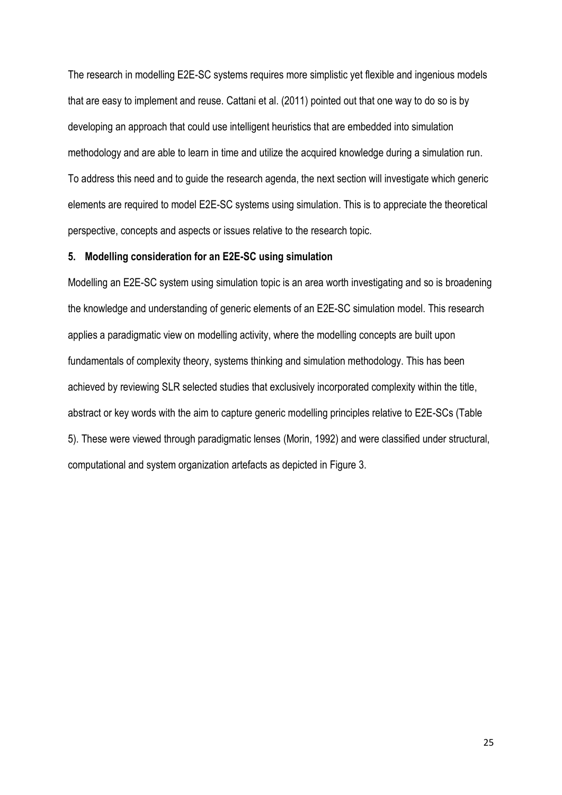The research in modelling E2E-SC systems requires more simplistic yet flexible and ingenious models that are easy to implement and reuse. Cattani et al. (2011) pointed out that one way to do so is by developing an approach that could use intelligent heuristics that are embedded into simulation methodology and are able to learn in time and utilize the acquired knowledge during a simulation run. To address this need and to guide the research agenda, the next section will investigate which generic elements are required to model E2E-SC systems using simulation. This is to appreciate the theoretical perspective, concepts and aspects or issues relative to the research topic.

### **5. Modelling consideration for an E2E-SC using simulation**

Modelling an E2E-SC system using simulation topic is an area worth investigating and so is broadening the knowledge and understanding of generic elements of an E2E-SC simulation model. This research applies a paradigmatic view on modelling activity, where the modelling concepts are built upon fundamentals of complexity theory, systems thinking and simulation methodology. This has been achieved by reviewing SLR selected studies that exclusively incorporated complexity within the title, abstract or key words with the aim to capture generic modelling principles relative to E2E-SCs (Table 5). These were viewed through paradigmatic lenses (Morin, 1992) and were classified under structural, computational and system organization artefacts as depicted in Figure 3.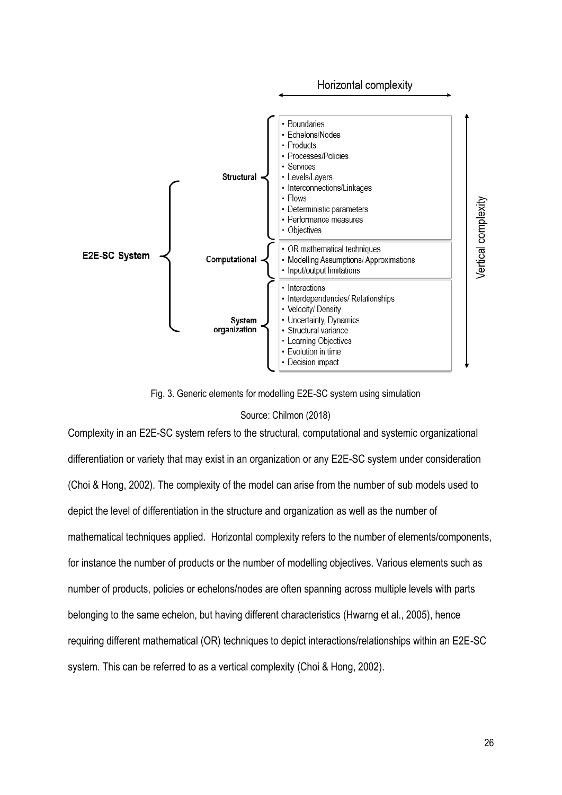

Fig. 3. Generic elements for modelling E2E-SC system using simulation

## Source: Chilmon (2018)

Complexity in an E2E-SC system refers to the structural, computational and systemic organizational differentiation or variety that may exist in an organization or any E2E-SC system under consideration (Choi & Hong, 2002). The complexity of the model can arise from the number of sub models used to depict the level of differentiation in the structure and organization as well as the number of mathematical techniques applied. Horizontal complexity refers to the number of elements/components, for instance the number of products or the number of modelling objectives. Various elements such as number of products, policies or echelons/nodes are often spanning across multiple levels with parts belonging to the same echelon, but having different characteristics (Hwarng et al., 2005), hence requiring different mathematical (OR) techniques to depict interactions/relationships within an E2E-SC system. This can be referred to as a vertical complexity (Choi & Hong, 2002).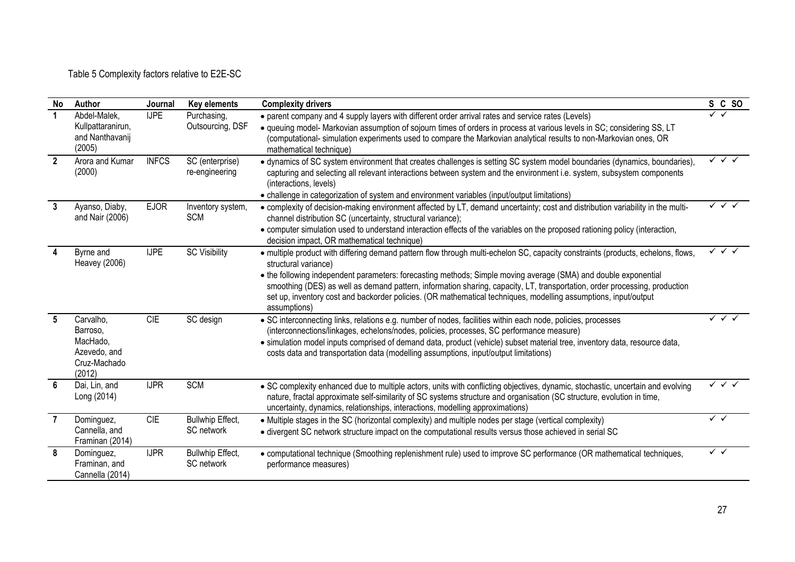Table 5 Complexity factors relative to E2E-SC

| No             | Author                                                                      | Journal      | Key elements                          | <b>Complexity drivers</b>                                                                                                                                                                                                                                                                                                                                                                                                                                                                                                                    | S C SO                                 |
|----------------|-----------------------------------------------------------------------------|--------------|---------------------------------------|----------------------------------------------------------------------------------------------------------------------------------------------------------------------------------------------------------------------------------------------------------------------------------------------------------------------------------------------------------------------------------------------------------------------------------------------------------------------------------------------------------------------------------------------|----------------------------------------|
|                | Abdel-Malek,<br>Kullpattaranirun,<br>and Nanthavanij<br>(2005)              | <b>IJPE</b>  | Purchasing,<br>Outsourcing, DSF       | • parent company and 4 supply layers with different order arrival rates and service rates (Levels)<br>• queuing model- Markovian assumption of sojourn times of orders in process at various levels in SC; considering SS, LT<br>(computational- simulation experiments used to compare the Markovian analytical results to non-Markovian ones, OR<br>mathematical technique)                                                                                                                                                                |                                        |
| $\overline{2}$ | Arora and Kumar<br>(2000)                                                   | <b>INFCS</b> | SC (enterprise)<br>re-engineering     | • dynamics of SC system environment that creates challenges is setting SC system model boundaries (dynamics, boundaries),<br>capturing and selecting all relevant interactions between system and the environment i.e. system, subsystem components<br>(interactions, levels)<br>• challenge in categorization of system and environment variables (input/output limitations)                                                                                                                                                                | $\checkmark$ $\checkmark$ $\checkmark$ |
| 3              | Ayanso, Diaby,<br>and Nair (2006)                                           | <b>EJOR</b>  | Inventory system,<br><b>SCM</b>       | • complexity of decision-making environment affected by LT, demand uncertainty; cost and distribution variability in the multi-<br>channel distribution SC (uncertainty, structural variance);<br>• computer simulation used to understand interaction effects of the variables on the proposed rationing policy (interaction,<br>decision impact, OR mathematical technique)                                                                                                                                                                | $\sqrt{\sqrt{}}$                       |
| 4              | Byrne and<br><b>Heavey (2006)</b>                                           | <b>IJPE</b>  | <b>SC Visibility</b>                  | · multiple product with differing demand pattern flow through multi-echelon SC, capacity constraints (products, echelons, flows,<br>structural variance)<br>• the following independent parameters: forecasting methods; Simple moving average (SMA) and double exponential<br>smoothing (DES) as well as demand pattern, information sharing, capacity, LT, transportation, order processing, production<br>set up, inventory cost and backorder policies. (OR mathematical techniques, modelling assumptions, input/output<br>assumptions) | $\checkmark$ $\checkmark$ $\checkmark$ |
| 5              | Carvalho,<br>Barroso.<br>MacHado,<br>Azevedo, and<br>Cruz-Machado<br>(2012) | CIE          | SC design                             | · SC interconnecting links, relations e.g. number of nodes, facilities within each node, policies, processes<br>(interconnections/linkages, echelons/nodes, policies, processes, SC performance measure)<br>· simulation model inputs comprised of demand data, product (vehicle) subset material tree, inventory data, resource data,<br>costs data and transportation data (modelling assumptions, input/output limitations)                                                                                                               | $\checkmark$ $\checkmark$ $\checkmark$ |
| 6              | Dai, Lin, and<br>Long (2014)                                                | <b>IJPR</b>  | SCM                                   | • SC complexity enhanced due to multiple actors, units with conflicting objectives, dynamic, stochastic, uncertain and evolving<br>nature, fractal approximate self-similarity of SC systems structure and organisation (SC structure, evolution in time,<br>uncertainty, dynamics, relationships, interactions, modelling approximations)                                                                                                                                                                                                   | $\checkmark$ $\checkmark$ $\checkmark$ |
| $\overline{7}$ | Dominguez,<br>Cannella, and<br>Framinan (2014)                              | CIE          | Bullwhip Effect,<br>SC network        | • Multiple stages in the SC (horizontal complexity) and multiple nodes per stage (vertical complexity)<br>• divergent SC network structure impact on the computational results versus those achieved in serial SC                                                                                                                                                                                                                                                                                                                            | $\checkmark$                           |
| 8              | Dominguez,<br>Framinan, and<br>Cannella (2014)                              | <b>IJPR</b>  | <b>Bullwhip Effect,</b><br>SC network | • computational technique (Smoothing replenishment rule) used to improve SC performance (OR mathematical techniques,<br>performance measures)                                                                                                                                                                                                                                                                                                                                                                                                | $\checkmark$ $\checkmark$              |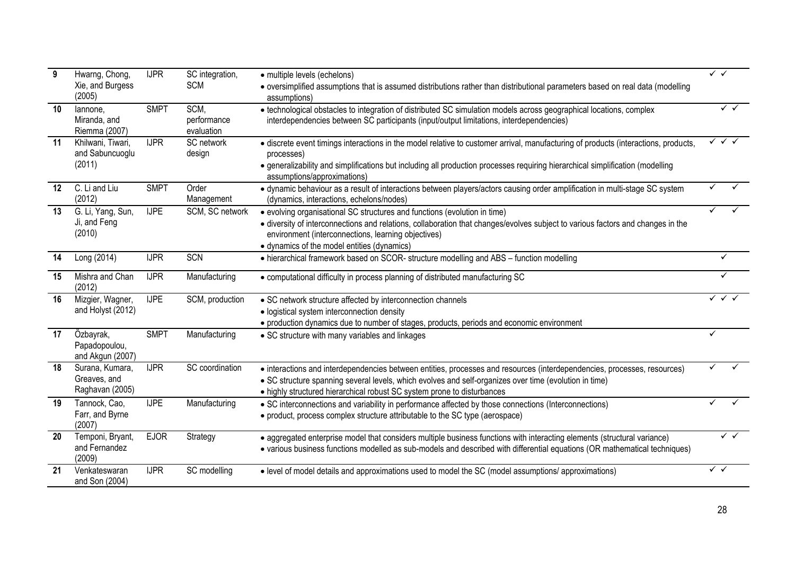| 9  | Hwarng, Chong,<br>Xie, and Burgess<br>(2005)       | <b>IJPR</b> | SC integration,<br><b>SCM</b>     | • multiple levels (echelons)<br>• oversimplified assumptions that is assumed distributions rather than distributional parameters based on real data (modelling<br>assumptions)                                                                                                                                     | $\checkmark$ $\checkmark$              |
|----|----------------------------------------------------|-------------|-----------------------------------|--------------------------------------------------------------------------------------------------------------------------------------------------------------------------------------------------------------------------------------------------------------------------------------------------------------------|----------------------------------------|
| 10 | lannone.<br>Miranda, and<br>Riemma (2007)          | <b>SMPT</b> | SCM,<br>performance<br>evaluation | • technological obstacles to integration of distributed SC simulation models across geographical locations, complex<br>interdependencies between SC participants (input/output limitations, interdependencies)                                                                                                     | ✓✓                                     |
| 11 | Khilwani, Tiwari,<br>and Sabuncuoglu<br>(2011)     | <b>IJPR</b> | SC network<br>design              | • discrete event timings interactions in the model relative to customer arrival, manufacturing of products (interactions, products,<br>processes)<br>• generalizability and simplifications but including all production processes requiring hierarchical simplification (modelling<br>assumptions/approximations) | $\checkmark$ $\checkmark$ $\checkmark$ |
| 12 | C. Li and Liu<br>(2012)                            | <b>SMPT</b> | Order<br>Management               | • dynamic behaviour as a result of interactions between players/actors causing order amplification in multi-stage SC system<br>(dynamics, interactions, echelons/nodes)                                                                                                                                            |                                        |
| 13 | G. Li, Yang, Sun,<br>Ji, and Feng<br>(2010)        | <b>IJPE</b> | SCM, SC network                   | • evolving organisational SC structures and functions (evolution in time)<br>• diversity of interconnections and relations, collaboration that changes/evolves subject to various factors and changes in the<br>environment (interconnections, learning objectives)<br>• dynamics of the model entities (dynamics) |                                        |
| 14 | Long (2014)                                        | <b>IJPR</b> | SCN                               | • hierarchical framework based on SCOR- structure modelling and ABS - function modelling                                                                                                                                                                                                                           | ✓                                      |
| 15 | Mishra and Chan<br>(2012)                          | <b>IJPR</b> | Manufacturing                     | • computational difficulty in process planning of distributed manufacturing SC                                                                                                                                                                                                                                     | ✓                                      |
| 16 | Mizgier, Wagner,<br>and Holyst (2012)              | <b>IJPE</b> | SCM, production                   | • SC network structure affected by interconnection channels<br>· logistical system interconnection density<br>· production dynamics due to number of stages, products, periods and economic environment                                                                                                            | ✓✓                                     |
| 17 | Özbayrak,<br>Papadopoulou,<br>and Akgun (2007)     | <b>SMPT</b> | Manufacturing                     | • SC structure with many variables and linkages                                                                                                                                                                                                                                                                    |                                        |
| 18 | Surana, Kumara,<br>Greaves, and<br>Raghavan (2005) | <b>IJPR</b> | SC coordination                   | • interactions and interdependencies between entities, processes and resources (interdependencies, processes, resources)<br>• SC structure spanning several levels, which evolves and self-organizes over time (evolution in time)<br>• highly structured hierarchical robust SC system prone to disturbances      |                                        |
| 19 | Tannock, Cao,<br>Farr, and Byrne<br>(2007)         | <b>IJPE</b> | Manufacturing                     | • SC interconnections and variability in performance affected by those connections (Interconnections)<br>• product, process complex structure attributable to the SC type (aerospace)                                                                                                                              |                                        |
| 20 | Temponi, Bryant,<br>and Fernandez<br>(2009)        | <b>EJOR</b> | Strategy                          | · aggregated enterprise model that considers multiple business functions with interacting elements (structural variance)<br>• various business functions modelled as sub-models and described with differential equations (OR mathematical techniques)                                                             | $\checkmark$ $\checkmark$              |
| 21 | Venkateswaran<br>and Son (2004)                    | <b>IJPR</b> | SC modelling                      | • level of model details and approximations used to model the SC (model assumptions/ approximations)                                                                                                                                                                                                               | $\checkmark$ $\checkmark$              |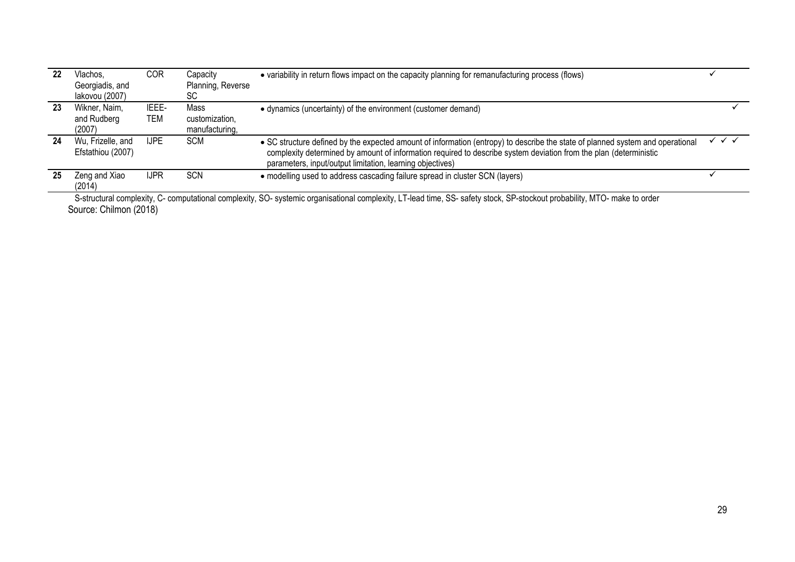| 22 | Vlachos.<br>Georgiadis, and<br>lakovou (2007) | COR          | Capacity<br>Planning, Reverse<br>SC      | • variability in return flows impact on the capacity planning for remanufacturing process (flows)                                                                                                                                                                                                                |                                        |
|----|-----------------------------------------------|--------------|------------------------------------------|------------------------------------------------------------------------------------------------------------------------------------------------------------------------------------------------------------------------------------------------------------------------------------------------------------------|----------------------------------------|
| 23 | Wikner, Naim,<br>and Rudberg<br>(2007)        | IEEE-<br>TEM | Mass<br>customization,<br>manufacturing, | • dynamics (uncertainty) of the environment (customer demand)                                                                                                                                                                                                                                                    |                                        |
| 24 | Wu, Frizelle, and<br>Efstathiou (2007)        | <b>IJPE</b>  | <b>SCM</b>                               | • SC structure defined by the expected amount of information (entropy) to describe the state of planned system and operational<br>complexity determined by amount of information required to describe system deviation from the plan (deterministic<br>parameters, input/output limitation, learning objectives) | $\checkmark$ $\checkmark$ $\checkmark$ |
| 25 | Zeng and Xiao<br>(2014)                       | <b>IJPR</b>  | <b>SCN</b>                               | • modelling used to address cascading failure spread in cluster SCN (layers)                                                                                                                                                                                                                                     |                                        |

Source: Chilmon (2018) S-structural complexity, C- computational complexity, SO- systemic organisational complexity, LT-lead time, SS- safety stock, SP-stockout probability, MTO- make to order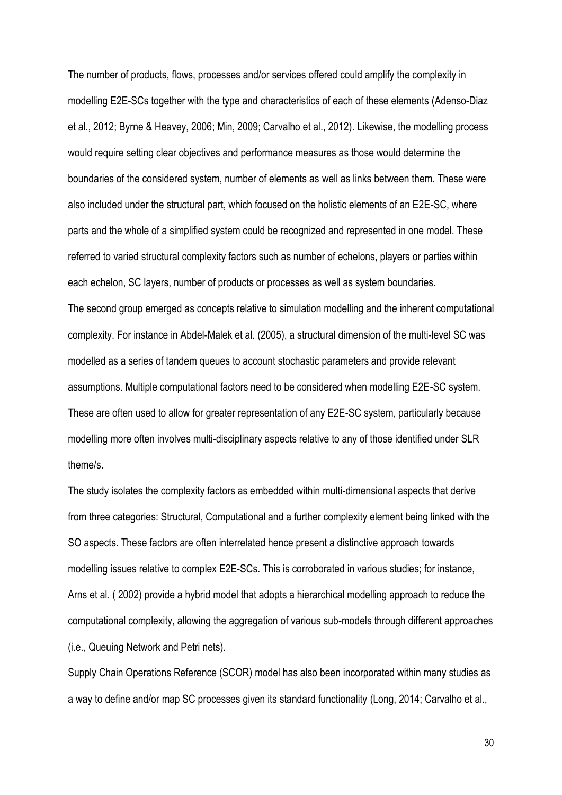The number of products, flows, processes and/or services offered could amplify the complexity in modelling E2E-SCs together with the type and characteristics of each of these elements (Adenso-Diaz et al., 2012; Byrne & Heavey, 2006; Min, 2009; Carvalho et al., 2012). Likewise, the modelling process would require setting clear objectives and performance measures as those would determine the boundaries of the considered system, number of elements as well as links between them. These were also included under the structural part, which focused on the holistic elements of an E2E-SC, where parts and the whole of a simplified system could be recognized and represented in one model. These referred to varied structural complexity factors such as number of echelons, players or parties within each echelon, SC layers, number of products or processes as well as system boundaries. The second group emerged as concepts relative to simulation modelling and the inherent computational complexity. For instance in Abdel-Malek et al. (2005), a structural dimension of the multi-level SC was modelled as a series of tandem queues to account stochastic parameters and provide relevant assumptions. Multiple computational factors need to be considered when modelling E2E-SC system. These are often used to allow for greater representation of any E2E-SC system, particularly because modelling more often involves multi-disciplinary aspects relative to any of those identified under SLR theme/s.

The study isolates the complexity factors as embedded within multi-dimensional aspects that derive from three categories: Structural, Computational and a further complexity element being linked with the SO aspects. These factors are often interrelated hence present a distinctive approach towards modelling issues relative to complex E2E-SCs. This is corroborated in various studies; for instance, Arns et al. ( 2002) provide a hybrid model that adopts a hierarchical modelling approach to reduce the computational complexity, allowing the aggregation of various sub-models through different approaches (i.e., Queuing Network and Petri nets).

Supply Chain Operations Reference (SCOR) model has also been incorporated within many studies as a way to define and/or map SC processes given its standard functionality (Long, 2014; Carvalho et al.,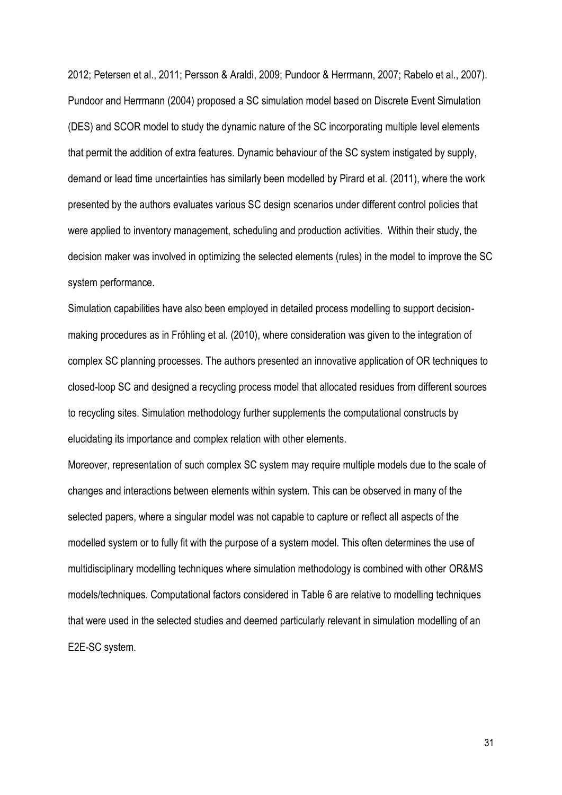2012; Petersen et al., 2011; Persson & Araldi, 2009; Pundoor & Herrmann, 2007; Rabelo et al., 2007). Pundoor and Herrmann (2004) proposed a SC simulation model based on Discrete Event Simulation (DES) and SCOR model to study the dynamic nature of the SC incorporating multiple level elements that permit the addition of extra features. Dynamic behaviour of the SC system instigated by supply, demand or lead time uncertainties has similarly been modelled by Pirard et al*.* (2011), where the work presented by the authors evaluates various SC design scenarios under different control policies that were applied to inventory management, scheduling and production activities. Within their study, the decision maker was involved in optimizing the selected elements (rules) in the model to improve the SC system performance.

Simulation capabilities have also been employed in detailed process modelling to support decisionmaking procedures as in Fröhling et al*.* (2010), where consideration was given to the integration of complex SC planning processes. The authors presented an innovative application of OR techniques to closed-loop SC and designed a recycling process model that allocated residues from different sources to recycling sites. Simulation methodology further supplements the computational constructs by elucidating its importance and complex relation with other elements.

Moreover, representation of such complex SC system may require multiple models due to the scale of changes and interactions between elements within system. This can be observed in many of the selected papers, where a singular model was not capable to capture or reflect all aspects of the modelled system or to fully fit with the purpose of a system model. This often determines the use of multidisciplinary modelling techniques where simulation methodology is combined with other OR&MS models/techniques. Computational factors considered in Table 6 are relative to modelling techniques that were used in the selected studies and deemed particularly relevant in simulation modelling of an E2E-SC system.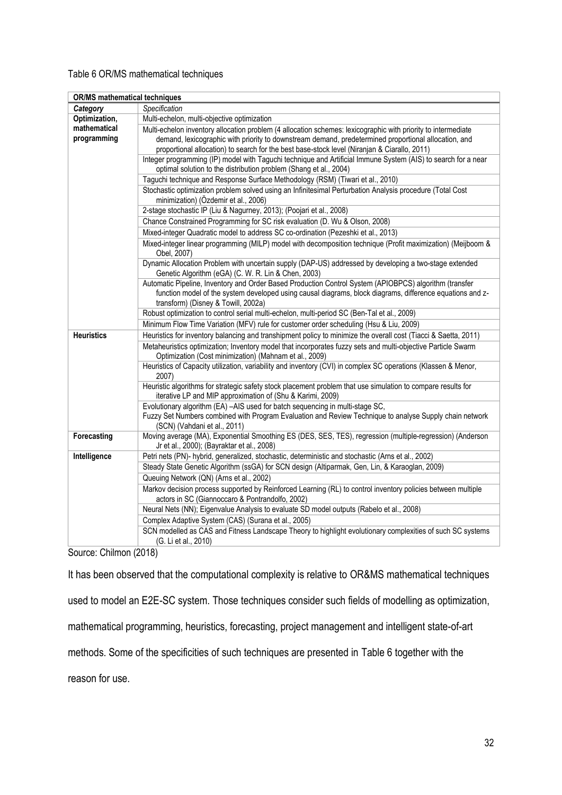## Table 6 OR/MS mathematical techniques

| OR/MS mathematical techniques |                                                                                                                                                                                                                                                            |
|-------------------------------|------------------------------------------------------------------------------------------------------------------------------------------------------------------------------------------------------------------------------------------------------------|
| Category                      | Specification                                                                                                                                                                                                                                              |
| Optimization,                 | Multi-echelon, multi-objective optimization                                                                                                                                                                                                                |
| mathematical                  | Multi-echelon inventory allocation problem (4 allocation schemes: lexicographic with priority to intermediate                                                                                                                                              |
| programming                   | demand, lexicographic with priority to downstream demand, predetermined proportional allocation, and                                                                                                                                                       |
|                               | proportional allocation) to search for the best base-stock level (Niranjan & Ciarallo, 2011)                                                                                                                                                               |
|                               | Integer programming (IP) model with Taguchi technique and Artificial Immune System (AIS) to search for a near<br>optimal solution to the distribution problem (Shang et al., 2004)                                                                         |
|                               | Taguchi technique and Response Surface Methodology (RSM) (Tiwari et al., 2010)                                                                                                                                                                             |
|                               | Stochastic optimization problem solved using an Infinitesimal Perturbation Analysis procedure (Total Cost<br>minimization) (Özdemir et al., 2006)                                                                                                          |
|                               | 2-stage stochastic IP (Liu & Nagurney, 2013); (Poojari et al., 2008)                                                                                                                                                                                       |
|                               | Chance Constrained Programming for SC risk evaluation (D. Wu & Olson, 2008)                                                                                                                                                                                |
|                               | Mixed-integer Quadratic model to address SC co-ordination (Pezeshki et al., 2013)                                                                                                                                                                          |
|                               | Mixed-integer linear programming (MILP) model with decomposition technique (Profit maximization) (Meijboom &<br>Obel, 2007)                                                                                                                                |
|                               | Dynamic Allocation Problem with uncertain supply (DAP-US) addressed by developing a two-stage extended<br>Genetic Algorithm (eGA) (C. W. R. Lin & Chen, 2003)                                                                                              |
|                               | Automatic Pipeline, Inventory and Order Based Production Control System (APIOBPCS) algorithm (transfer<br>function model of the system developed using causal diagrams, block diagrams, difference equations and z-<br>transform) (Disney & Towill, 2002a) |
|                               | Robust optimization to control serial multi-echelon, multi-period SC (Ben-Tal et al., 2009)                                                                                                                                                                |
|                               | Minimum Flow Time Variation (MFV) rule for customer order scheduling (Hsu & Liu, 2009)                                                                                                                                                                     |
| <b>Heuristics</b>             | Heuristics for inventory balancing and transhipment policy to minimize the overall cost (Tiacci & Saetta, 2011)                                                                                                                                            |
|                               | Metaheuristics optimization; Inventory model that incorporates fuzzy sets and multi-objective Particle Swarm<br>Optimization (Cost minimization) (Mahnam et al., 2009)                                                                                     |
|                               | Heuristics of Capacity utilization, variability and inventory (CVI) in complex SC operations (Klassen & Menor,<br>2007)                                                                                                                                    |
|                               | Heuristic algorithms for strategic safety stock placement problem that use simulation to compare results for<br>iterative LP and MIP approximation of (Shu & Karimi, 2009)                                                                                 |
|                               | Evolutionary algorithm (EA) -AIS used for batch sequencing in multi-stage SC,                                                                                                                                                                              |
|                               | Fuzzy Set Numbers combined with Program Evaluation and Review Technique to analyse Supply chain network<br>(SCN) (Vahdani et al., 2011)                                                                                                                    |
| Forecasting                   | Moving average (MA), Exponential Smoothing ES (DES, SES, TES), regression (multiple-regression) (Anderson<br>Jr et al., 2000); (Bayraktar et al., 2008)                                                                                                    |
| Intelligence                  | Petri nets (PN)- hybrid, generalized, stochastic, deterministic and stochastic (Arns et al., 2002)                                                                                                                                                         |
|                               | Steady State Genetic Algorithm (ssGA) for SCN design (Altiparmak, Gen, Lin, & Karaoglan, 2009)                                                                                                                                                             |
|                               | Queuing Network (QN) (Arns et al., 2002)                                                                                                                                                                                                                   |
|                               | Markov decision process supported by Reinforced Learning (RL) to control inventory policies between multiple                                                                                                                                               |
|                               | actors in SC (Giannoccaro & Pontrandolfo, 2002)                                                                                                                                                                                                            |
|                               | Neural Nets (NN); Eigenvalue Analysis to evaluate SD model outputs (Rabelo et al., 2008)                                                                                                                                                                   |
|                               | Complex Adaptive System (CAS) (Surana et al., 2005)                                                                                                                                                                                                        |
|                               | SCN modelled as CAS and Fitness Landscape Theory to highlight evolutionary complexities of such SC systems<br>(G. Li et al., 2010)                                                                                                                         |

Source: Chilmon (2018)

It has been observed that the computational complexity is relative to OR&MS mathematical techniques used to model an E2E-SC system. Those techniques consider such fields of modelling as optimization, mathematical programming, heuristics, forecasting, project management and intelligent state-of-art methods. Some of the specificities of such techniques are presented in Table 6 together with the reason for use.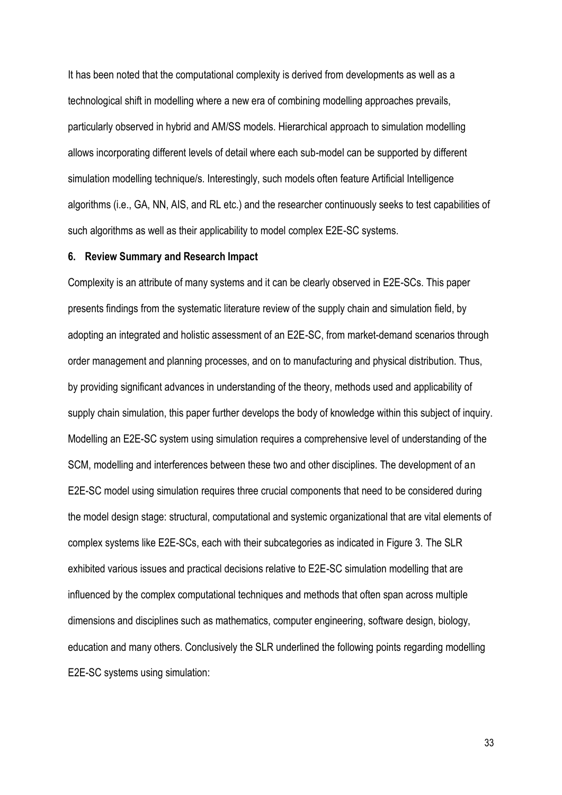It has been noted that the computational complexity is derived from developments as well as a technological shift in modelling where a new era of combining modelling approaches prevails, particularly observed in hybrid and AM/SS models. Hierarchical approach to simulation modelling allows incorporating different levels of detail where each sub-model can be supported by different simulation modelling technique/s. Interestingly, such models often feature Artificial Intelligence algorithms (i.e., GA, NN, AIS, and RL etc.) and the researcher continuously seeks to test capabilities of such algorithms as well as their applicability to model complex E2E-SC systems.

### **6. Review Summary and Research Impact**

Complexity is an attribute of many systems and it can be clearly observed in E2E-SCs. This paper presents findings from the systematic literature review of the supply chain and simulation field, by adopting an integrated and holistic assessment of an E2E-SC, from market-demand scenarios through order management and planning processes, and on to manufacturing and physical distribution. Thus, by providing significant advances in understanding of the theory, methods used and applicability of supply chain simulation, this paper further develops the body of knowledge within this subject of inquiry. Modelling an E2E-SC system using simulation requires a comprehensive level of understanding of the SCM, modelling and interferences between these two and other disciplines. The development of an E2E-SC model using simulation requires three crucial components that need to be considered during the model design stage: structural, computational and systemic organizational that are vital elements of complex systems like E2E-SCs, each with their subcategories as indicated in Figure 3. The SLR exhibited various issues and practical decisions relative to E2E-SC simulation modelling that are influenced by the complex computational techniques and methods that often span across multiple dimensions and disciplines such as mathematics, computer engineering, software design, biology, education and many others. Conclusively the SLR underlined the following points regarding modelling E2E-SC systems using simulation: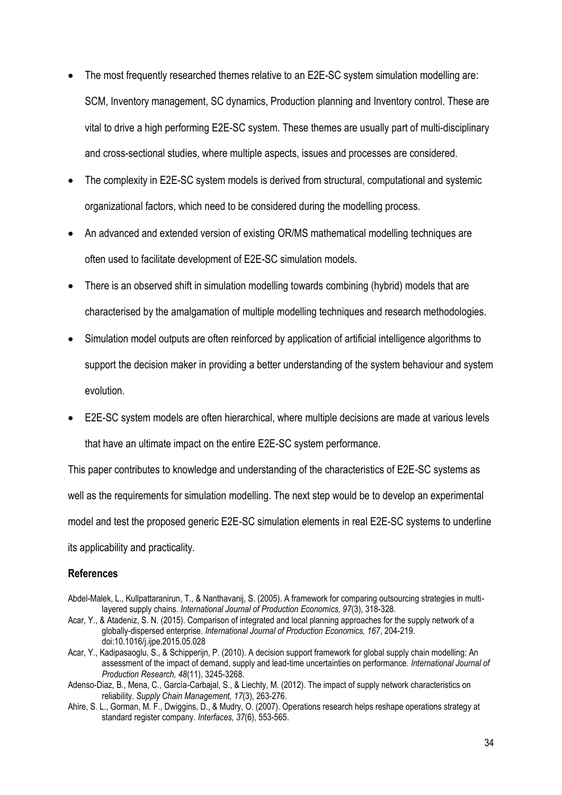- The most frequently researched themes relative to an E2E-SC system simulation modelling are: SCM, Inventory management, SC dynamics, Production planning and Inventory control. These are vital to drive a high performing E2E-SC system. These themes are usually part of multi-disciplinary and cross-sectional studies, where multiple aspects, issues and processes are considered.
- The complexity in E2E-SC system models is derived from structural, computational and systemic organizational factors, which need to be considered during the modelling process.
- An advanced and extended version of existing OR/MS mathematical modelling techniques are often used to facilitate development of E2E-SC simulation models.
- There is an observed shift in simulation modelling towards combining (hybrid) models that are characterised by the amalgamation of multiple modelling techniques and research methodologies.
- Simulation model outputs are often reinforced by application of artificial intelligence algorithms to support the decision maker in providing a better understanding of the system behaviour and system evolution.
- E2E-SC system models are often hierarchical, where multiple decisions are made at various levels that have an ultimate impact on the entire E2E-SC system performance.

This paper contributes to knowledge and understanding of the characteristics of E2E-SC systems as well as the requirements for simulation modelling. The next step would be to develop an experimental model and test the proposed generic E2E-SC simulation elements in real E2E-SC systems to underline its applicability and practicality.

## **References**

- Abdel-Malek, L., Kullpattaranirun, T., & Nanthavanij, S. (2005). A framework for comparing outsourcing strategies in multilayered supply chains. *International Journal of Production Economics, 97*(3), 318-328.
- Acar, Y., & Atadeniz, S. N. (2015). Comparison of integrated and local planning approaches for the supply network of a globally-dispersed enterprise. *International Journal of Production Economics, 167*, 204-219. doi:10.1016/j.ijpe.2015.05.028
- Acar, Y., Kadipasaoglu, S., & Schipperijn, P. (2010). A decision support framework for global supply chain modelling: An assessment of the impact of demand, supply and lead-time uncertainties on performance. *International Journal of Production Research, 48*(11), 3245-3268.
- Adenso-Diaz, B., Mena, C., García-Carbajal, S., & Liechty, M. (2012). The impact of supply network characteristics on reliability. *Supply Chain Management, 17*(3), 263-276.
- Ahire, S. L., Gorman, M. F., Dwiggins, D., & Mudry, O. (2007). Operations research helps reshape operations strategy at standard register company. *Interfaces, 37*(6), 553-565.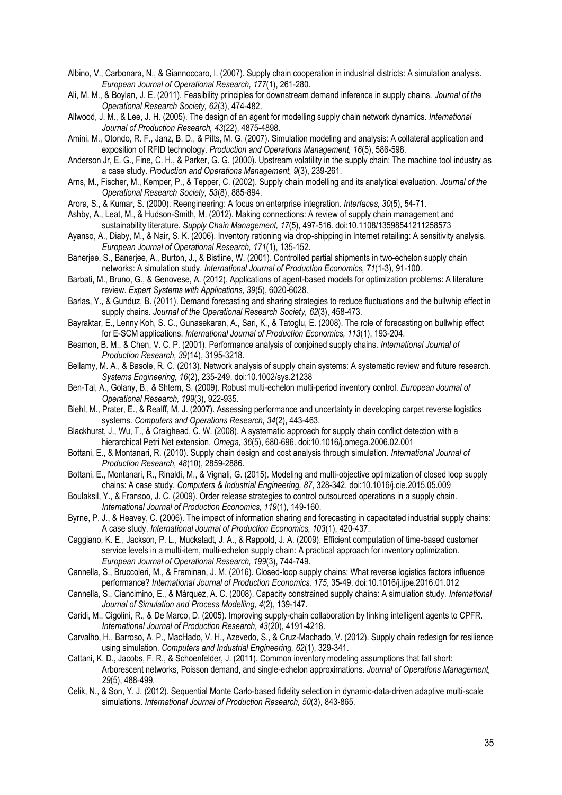Albino, V., Carbonara, N., & Giannoccaro, I. (2007). Supply chain cooperation in industrial districts: A simulation analysis. *European Journal of Operational Research, 177*(1), 261-280.

Ali, M. M., & Boylan, J. E. (2011). Feasibility principles for downstream demand inference in supply chains. *Journal of the Operational Research Society, 62*(3), 474-482.

Allwood, J. M., & Lee, J. H. (2005). The design of an agent for modelling supply chain network dynamics. *International Journal of Production Research, 43*(22), 4875-4898.

Amini, M., Otondo, R. F., Janz, B. D., & Pitts, M. G. (2007). Simulation modeling and analysis: A collateral application and exposition of RFID technology. *Production and Operations Management, 16*(5), 586-598.

Anderson Jr, E. G., Fine, C. H., & Parker, G. G. (2000). Upstream volatility in the supply chain: The machine tool industry as a case study. *Production and Operations Management, 9*(3), 239-261.

Arns, M., Fischer, M., Kemper, P., & Tepper, C. (2002). Supply chain modelling and its analytical evaluation. *Journal of the Operational Research Society, 53*(8), 885-894.

Arora, S., & Kumar, S. (2000). Reengineering: A focus on enterprise integration. *Interfaces, 30*(5), 54-71.

Ashby, A., Leat, M., & Hudson-Smith, M. (2012). Making connections: A review of supply chain management and sustainability literature. *Supply Chain Management, 17*(5), 497-516. doi:10.1108/13598541211258573

Ayanso, A., Diaby, M., & Nair, S. K. (2006). Inventory rationing via drop-shipping in Internet retailing: A sensitivity analysis. *European Journal of Operational Research, 171*(1), 135-152.

Banerjee, S., Banerjee, A., Burton, J., & Bistline, W. (2001). Controlled partial shipments in two-echelon supply chain networks: A simulation study. *International Journal of Production Economics, 71*(1-3), 91-100.

Barbati, M., Bruno, G., & Genovese, A. (2012). Applications of agent-based models for optimization problems: A literature review. *Expert Systems with Applications, 39*(5), 6020-6028.

Barlas, Y., & Gunduz, B. (2011). Demand forecasting and sharing strategies to reduce fluctuations and the bullwhip effect in supply chains. *Journal of the Operational Research Society, 62*(3), 458-473.

Bayraktar, E., Lenny Koh, S. C., Gunasekaran, A., Sari, K., & Tatoglu, E. (2008). The role of forecasting on bullwhip effect for E-SCM applications. *International Journal of Production Economics, 113*(1), 193-204.

Beamon, B. M., & Chen, V. C. P. (2001). Performance analysis of conjoined supply chains. *International Journal of Production Research, 39*(14), 3195-3218.

Bellamy, M. A., & Basole, R. C. (2013). Network analysis of supply chain systems: A systematic review and future research. *Systems Engineering, 16*(2), 235-249. doi:10.1002/sys.21238

Ben-Tal, A., Golany, B., & Shtern, S. (2009). Robust multi-echelon multi-period inventory control. *European Journal of Operational Research, 199*(3), 922-935.

Biehl, M., Prater, E., & Realff, M. J. (2007). Assessing performance and uncertainty in developing carpet reverse logistics systems. *Computers and Operations Research, 34*(2), 443-463.

Blackhurst, J., Wu, T., & Craighead, C. W. (2008). A systematic approach for supply chain conflict detection with a hierarchical Petri Net extension. *Omega, 36*(5), 680-696. doi:10.1016/j.omega.2006.02.001

Bottani, E., & Montanari, R. (2010). Supply chain design and cost analysis through simulation. *International Journal of Production Research, 48*(10), 2859-2886.

Bottani, E., Montanari, R., Rinaldi, M., & Vignali, G. (2015). Modeling and multi-objective optimization of closed loop supply chains: A case study. *Computers & Industrial Engineering, 87*, 328-342. doi:10.1016/j.cie.2015.05.009

Boulaksil, Y., & Fransoo, J. C. (2009). Order release strategies to control outsourced operations in a supply chain. *International Journal of Production Economics, 119*(1), 149-160.

Byrne, P. J., & Heavey, C. (2006). The impact of information sharing and forecasting in capacitated industrial supply chains: A case study. *International Journal of Production Economics, 103*(1), 420-437.

Caggiano, K. E., Jackson, P. L., Muckstadt, J. A., & Rappold, J. A. (2009). Efficient computation of time-based customer service levels in a multi-item, multi-echelon supply chain: A practical approach for inventory optimization. *European Journal of Operational Research, 199*(3), 744-749.

Cannella, S., Bruccoleri, M., & Framinan, J. M. (2016). Closed-loop supply chains: What reverse logistics factors influence performance? *International Journal of Production Economics, 175*, 35-49. doi:10.1016/j.ijpe.2016.01.012

Cannella, S., Ciancimino, E., & Márquez, A. C. (2008). Capacity constrained supply chains: A simulation study. *International Journal of Simulation and Process Modelling, 4*(2), 139-147.

Caridi, M., Cigolini, R., & De Marco, D. (2005). Improving supply-chain collaboration by linking intelligent agents to CPFR. *International Journal of Production Research, 43*(20), 4191-4218.

Carvalho, H., Barroso, A. P., MacHado, V. H., Azevedo, S., & Cruz-Machado, V. (2012). Supply chain redesign for resilience using simulation. *Computers and Industrial Engineering, 62*(1), 329-341.

Cattani, K. D., Jacobs, F. R., & Schoenfelder, J. (2011). Common inventory modeling assumptions that fall short: Arborescent networks, Poisson demand, and single-echelon approximations. *Journal of Operations Management, 29*(5), 488-499.

Celik, N., & Son, Y. J. (2012). Sequential Monte Carlo-based fidelity selection in dynamic-data-driven adaptive multi-scale simulations. *International Journal of Production Research, 50*(3), 843-865.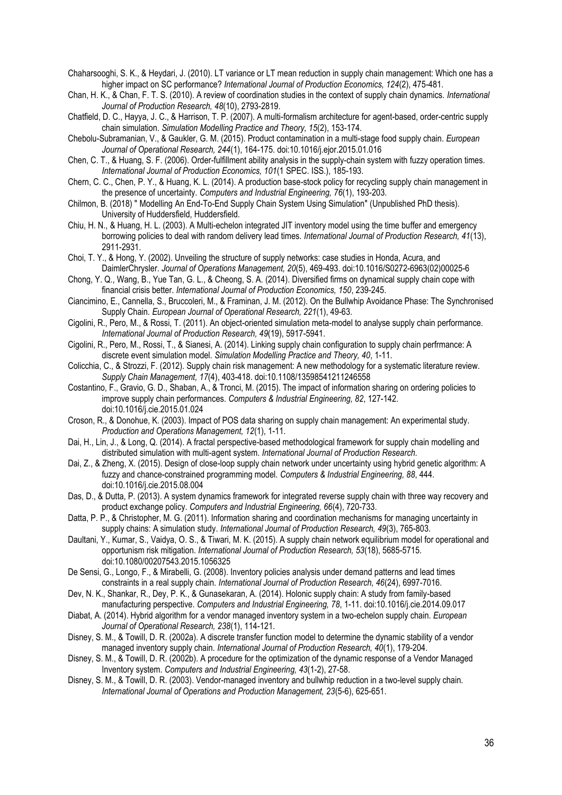Chaharsooghi, S. K., & Heydari, J. (2010). LT variance or LT mean reduction in supply chain management: Which one has a higher impact on SC performance? *International Journal of Production Economics, 124*(2), 475-481.

Chan, H. K., & Chan, F. T. S. (2010). A review of coordination studies in the context of supply chain dynamics. *International Journal of Production Research, 48*(10), 2793-2819.

Chatfield, D. C., Hayya, J. C., & Harrison, T. P. (2007). A multi-formalism architecture for agent-based, order-centric supply chain simulation. *Simulation Modelling Practice and Theory, 15*(2), 153-174.

Chebolu-Subramanian, V., & Gaukler, G. M. (2015). Product contamination in a multi-stage food supply chain. *European Journal of Operational Research, 244*(1), 164-175. doi:10.1016/j.ejor.2015.01.016

Chen, C. T., & Huang, S. F. (2006). Order-fulfillment ability analysis in the supply-chain system with fuzzy operation times. *International Journal of Production Economics, 101*(1 SPEC. ISS.), 185-193.

Chern, C. C., Chen, P. Y., & Huang, K. L. (2014). A production base-stock policy for recycling supply chain management in the presence of uncertainty. *Computers and Industrial Engineering, 76*(1), 193-203.

Chilmon, B. (2018) " Modelling An End-To-End Supply Chain System Using Simulation" (Unpublished PhD thesis). University of Huddersfield, Huddersfield.

Chiu, H. N., & Huang, H. L. (2003). A Multi-echelon integrated JIT inventory model using the time buffer and emergency borrowing policies to deal with random delivery lead times. *International Journal of Production Research, 41*(13), 2911-2931.

Choi, T. Y., & Hong, Y. (2002). Unveiling the structure of supply networks: case studies in Honda, Acura, and DaimlerChrysler. *Journal of Operations Management, 20*(5), 469-493. doi:10.1016/S0272-6963(02)00025-6

Chong, Y. Q., Wang, B., Yue Tan, G. L., & Cheong, S. A. (2014). Diversified firms on dynamical supply chain cope with financial crisis better. *International Journal of Production Economics, 150*, 239-245.

Ciancimino, E., Cannella, S., Bruccoleri, M., & Framinan, J. M. (2012). On the Bullwhip Avoidance Phase: The Synchronised Supply Chain. *European Journal of Operational Research, 221*(1), 49-63.

Cigolini, R., Pero, M., & Rossi, T. (2011). An object-oriented simulation meta-model to analyse supply chain performance. *International Journal of Production Research, 49*(19), 5917-5941.

Cigolini, R., Pero, M., Rossi, T., & Sianesi, A. (2014). Linking supply chain configuration to supply chain perfrmance: A discrete event simulation model. *Simulation Modelling Practice and Theory, 40*, 1-11.

Colicchia, C., & Strozzi, F. (2012). Supply chain risk management: A new methodology for a systematic literature review. *Supply Chain Management, 17*(4), 403-418. doi:10.1108/13598541211246558

Costantino, F., Gravio, G. D., Shaban, A., & Tronci, M. (2015). The impact of information sharing on ordering policies to improve supply chain performances. *Computers & Industrial Engineering, 82*, 127-142. doi:10.1016/j.cie.2015.01.024

Croson, R., & Donohue, K. (2003). Impact of POS data sharing on supply chain management: An experimental study. *Production and Operations Management, 12*(1), 1-11.

Dai, H., Lin, J., & Long, Q. (2014). A fractal perspective-based methodological framework for supply chain modelling and distributed simulation with multi-agent system. *International Journal of Production Research*.

Dai, Z., & Zheng, X. (2015). Design of close-loop supply chain network under uncertainty using hybrid genetic algorithm: A fuzzy and chance-constrained programming model. *Computers & Industrial Engineering, 88*, 444. doi:10.1016/j.cie.2015.08.004

Das, D., & Dutta, P. (2013). A system dynamics framework for integrated reverse supply chain with three way recovery and product exchange policy. *Computers and Industrial Engineering, 66*(4), 720-733.

Datta, P. P., & Christopher, M. G. (2011). Information sharing and coordination mechanisms for managing uncertainty in supply chains: A simulation study. *International Journal of Production Research, 49*(3), 765-803.

Daultani, Y., Kumar, S., Vaidya, O. S., & Tiwari, M. K. (2015). A supply chain network equilibrium model for operational and opportunism risk mitigation. *International Journal of Production Research, 53*(18), 5685-5715. doi:10.1080/00207543.2015.1056325

De Sensi, G., Longo, F., & Mirabelli, G. (2008). Inventory policies analysis under demand patterns and lead times constraints in a real supply chain. *International Journal of Production Research, 46*(24), 6997-7016.

Dev, N. K., Shankar, R., Dey, P. K., & Gunasekaran, A. (2014). Holonic supply chain: A study from family-based manufacturing perspective. *Computers and Industrial Engineering, 78*, 1-11. doi:10.1016/j.cie.2014.09.017

Diabat, A. (2014). Hybrid algorithm for a vendor managed inventory system in a two-echelon supply chain. *European Journal of Operational Research, 238*(1), 114-121.

Disney, S. M., & Towill, D. R. (2002a). A discrete transfer function model to determine the dynamic stability of a vendor managed inventory supply chain. *International Journal of Production Research, 40*(1), 179-204.

Disney, S. M., & Towill, D. R. (2002b). A procedure for the optimization of the dynamic response of a Vendor Managed Inventory system. *Computers and Industrial Engineering, 43*(1-2), 27-58.

Disney, S. M., & Towill, D. R. (2003). Vendor-managed inventory and bullwhip reduction in a two-level supply chain. *International Journal of Operations and Production Management, 23*(5-6), 625-651.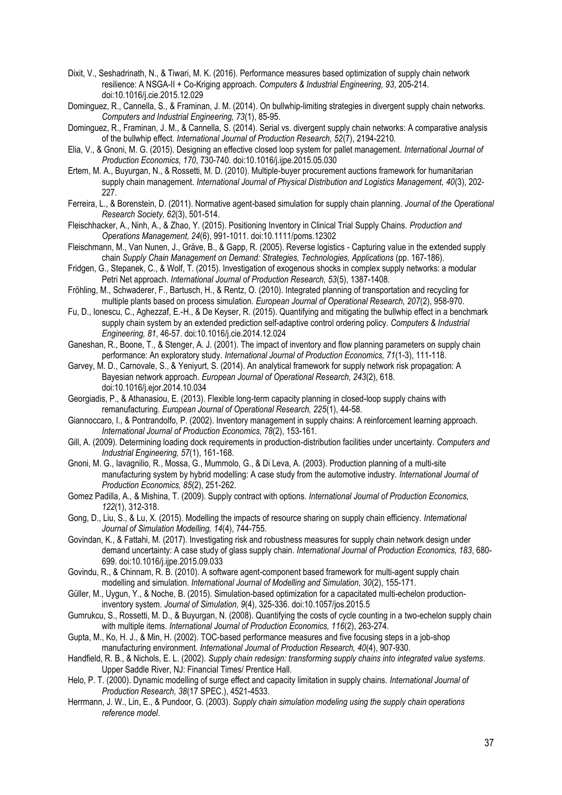- Dixit, V., Seshadrinath, N., & Tiwari, M. K. (2016). Performance measures based optimization of supply chain network resilience: A NSGA-II + Co-Kriging approach. *Computers & Industrial Engineering, 93*, 205-214. doi:10.1016/j.cie.2015.12.029
- Dominguez, R., Cannella, S., & Framinan, J. M. (2014). On bullwhip-limiting strategies in divergent supply chain networks. *Computers and Industrial Engineering, 73*(1), 85-95.
- Dominguez, R., Framinan, J. M., & Cannella, S. (2014). Serial vs. divergent supply chain networks: A comparative analysis of the bullwhip effect. *International Journal of Production Research, 52*(7), 2194-2210.
- Elia, V., & Gnoni, M. G. (2015). Designing an effective closed loop system for pallet management. *International Journal of Production Economics, 170*, 730-740. doi:10.1016/j.ijpe.2015.05.030
- Ertem, M. A., Buyurgan, N., & Rossetti, M. D. (2010). Multiple-buyer procurement auctions framework for humanitarian supply chain management. *International Journal of Physical Distribution and Logistics Management, 40*(3), 202- 227.
- Ferreira, L., & Borenstein, D. (2011). Normative agent-based simulation for supply chain planning. *Journal of the Operational Research Society, 62*(3), 501-514.
- Fleischhacker, A., Ninh, A., & Zhao, Y. (2015). Positioning Inventory in Clinical Trial Supply Chains. *Production and Operations Management, 24*(6), 991-1011. doi:10.1111/poms.12302
- Fleischmann, M., Van Nunen, J., Gräve, B., & Gapp, R. (2005). Reverse logistics Capturing value in the extended supply chain *Supply Chain Management on Demand: Strategies, Technologies, Applications* (pp. 167-186).
- Fridgen, G., Stepanek, C., & Wolf, T. (2015). Investigation of exogenous shocks in complex supply networks: a modular Petri Net approach. *International Journal of Production Research, 53*(5), 1387-1408.
- Fröhling, M., Schwaderer, F., Bartusch, H., & Rentz, O. (2010). Integrated planning of transportation and recycling for multiple plants based on process simulation. *European Journal of Operational Research, 207*(2), 958-970.
- Fu, D., Ionescu, C., Aghezzaf, E.-H., & De Keyser, R. (2015). Quantifying and mitigating the bullwhip effect in a benchmark supply chain system by an extended prediction self-adaptive control ordering policy. *Computers & Industrial Engineering, 81*, 46-57. doi:10.1016/j.cie.2014.12.024
- Ganeshan, R., Boone, T., & Stenger, A. J. (2001). The impact of inventory and flow planning parameters on supply chain performance: An exploratory study. *International Journal of Production Economics, 71*(1-3), 111-118.
- Garvey, M. D., Carnovale, S., & Yeniyurt, S. (2014). An analytical framework for supply network risk propagation: A Bayesian network approach. *European Journal of Operational Research, 243*(2), 618. doi:10.1016/j.ejor.2014.10.034
- Georgiadis, P., & Athanasiou, E. (2013). Flexible long-term capacity planning in closed-loop supply chains with remanufacturing. *European Journal of Operational Research, 225*(1), 44-58.
- Giannoccaro, I., & Pontrandolfo, P. (2002). Inventory management in supply chains: A reinforcement learning approach. *International Journal of Production Economics, 78*(2), 153-161.
- Gill, A. (2009). Determining loading dock requirements in production-distribution facilities under uncertainty. *Computers and Industrial Engineering, 57*(1), 161-168.
- Gnoni, M. G., Iavagnilio, R., Mossa, G., Mummolo, G., & Di Leva, A. (2003). Production planning of a multi-site manufacturing system by hybrid modelling: A case study from the automotive industry. *International Journal of Production Economics, 85*(2), 251-262.
- Gomez Padilla, A., & Mishina, T. (2009). Supply contract with options. *International Journal of Production Economics, 122*(1), 312-318.
- Gong, D., Liu, S., & Lu, X. (2015). Modelling the impacts of resource sharing on supply chain efficiency. *International Journal of Simulation Modelling, 14*(4), 744-755.
- Govindan, K., & Fattahi, M. (2017). Investigating risk and robustness measures for supply chain network design under demand uncertainty: A case study of glass supply chain. *International Journal of Production Economics, 183*, 680- 699. doi:10.1016/j.ijpe.2015.09.033
- Govindu, R., & Chinnam, R. B. (2010). A software agent-component based framework for multi-agent supply chain modelling and simulation. *International Journal of Modelling and Simulation, 30*(2), 155-171.
- Güller, M., Uygun, Y., & Noche, B. (2015). Simulation-based optimization for a capacitated multi-echelon productioninventory system. *Journal of Simulation, 9*(4), 325-336. doi:10.1057/jos.2015.5
- Gumrukcu, S., Rossetti, M. D., & Buyurgan, N. (2008). Quantifying the costs of cycle counting in a two-echelon supply chain with multiple items. *International Journal of Production Economics, 116*(2), 263-274.
- Gupta, M., Ko, H. J., & Min, H. (2002). TOC-based performance measures and five focusing steps in a job-shop manufacturing environment. *International Journal of Production Research, 40*(4), 907-930.
- Handfield, R. B., & Nichols, E. L. (2002). *Supply chain redesign: transforming supply chains into integrated value systems*. Upper Saddle River, NJ: Financial Times/ Prentice Hall.
- Helo, P. T. (2000). Dynamic modelling of surge effect and capacity limitation in supply chains. *International Journal of Production Research, 38*(17 SPEC.), 4521-4533.
- Herrmann, J. W., Lin, E., & Pundoor, G. (2003). *Supply chain simulation modeling using the supply chain operations reference model*.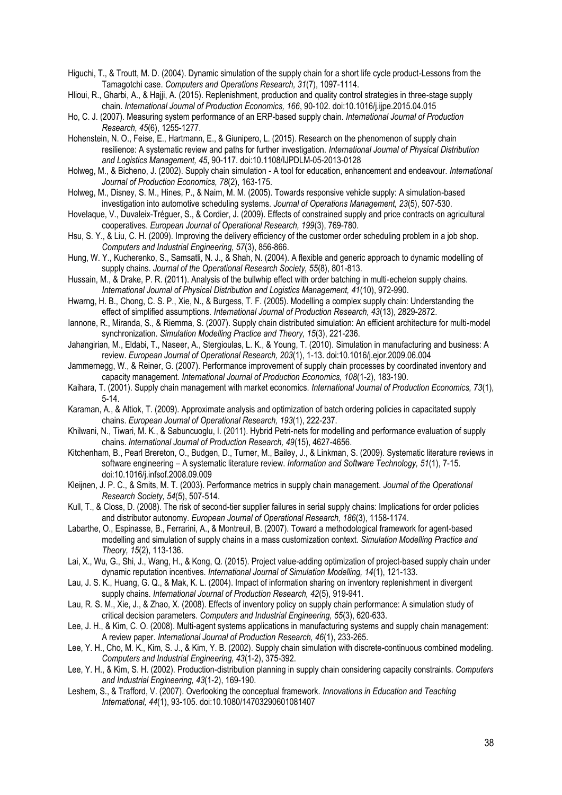Higuchi, T., & Troutt, M. D. (2004). Dynamic simulation of the supply chain for a short life cycle product-Lessons from the Tamagotchi case. *Computers and Operations Research, 31*(7), 1097-1114.

Hlioui, R., Gharbi, A., & Hajji, A. (2015). Replenishment, production and quality control strategies in three-stage supply chain. *International Journal of Production Economics, 166*, 90-102. doi:10.1016/j.ijpe.2015.04.015

Ho, C. J. (2007). Measuring system performance of an ERP-based supply chain. *International Journal of Production Research, 45*(6), 1255-1277.

Hohenstein, N. O., Feise, E., Hartmann, E., & Giunipero, L. (2015). Research on the phenomenon of supply chain resilience: A systematic review and paths for further investigation. *International Journal of Physical Distribution and Logistics Management, 45*, 90-117. doi:10.1108/IJPDLM-05-2013-0128

Holweg, M., & Bicheno, J. (2002). Supply chain simulation - A tool for education, enhancement and endeavour. *International Journal of Production Economics, 78*(2), 163-175.

Holweg, M., Disney, S. M., Hines, P., & Naim, M. M. (2005). Towards responsive vehicle supply: A simulation-based investigation into automotive scheduling systems. *Journal of Operations Management, 23*(5), 507-530.

Hovelaque, V., Duvaleix-Tréguer, S., & Cordier, J. (2009). Effects of constrained supply and price contracts on agricultural cooperatives. *European Journal of Operational Research, 199*(3), 769-780.

Hsu, S. Y., & Liu, C. H. (2009). Improving the delivery efficiency of the customer order scheduling problem in a job shop. *Computers and Industrial Engineering, 57*(3), 856-866.

Hung, W. Y., Kucherenko, S., Samsatli, N. J., & Shah, N. (2004). A flexible and generic approach to dynamic modelling of supply chains. *Journal of the Operational Research Society, 55*(8), 801-813.

Hussain, M., & Drake, P. R. (2011). Analysis of the bullwhip effect with order batching in multi-echelon supply chains. *International Journal of Physical Distribution and Logistics Management, 41*(10), 972-990.

Hwarng, H. B., Chong, C. S. P., Xie, N., & Burgess, T. F. (2005). Modelling a complex supply chain: Understanding the effect of simplified assumptions. *International Journal of Production Research, 43*(13), 2829-2872.

Iannone, R., Miranda, S., & Riemma, S. (2007). Supply chain distributed simulation: An efficient architecture for multi-model synchronization. *Simulation Modelling Practice and Theory, 15*(3), 221-236.

Jahangirian, M., Eldabi, T., Naseer, A., Stergioulas, L. K., & Young, T. (2010). Simulation in manufacturing and business: A review. *European Journal of Operational Research, 203*(1), 1-13. doi:10.1016/j.ejor.2009.06.004

Jammernegg, W., & Reiner, G. (2007). Performance improvement of supply chain processes by coordinated inventory and capacity management. *International Journal of Production Economics, 108*(1-2), 183-190.

Kaihara, T. (2001). Supply chain management with market economics. *International Journal of Production Economics, 73*(1), 5-14.

Karaman, A., & Altiok, T. (2009). Approximate analysis and optimization of batch ordering policies in capacitated supply chains. *European Journal of Operational Research, 193*(1), 222-237.

Khilwani, N., Tiwari, M. K., & Sabuncuoglu, I. (2011). Hybrid Petri-nets for modelling and performance evaluation of supply chains. *International Journal of Production Research, 49*(15), 4627-4656.

Kitchenham, B., Pearl Brereton, O., Budgen, D., Turner, M., Bailey, J., & Linkman, S. (2009). Systematic literature reviews in software engineering – A systematic literature review. *Information and Software Technology, 51*(1), 7-15. doi:10.1016/j.infsof.2008.09.009

Kleijnen, J. P. C., & Smits, M. T. (2003). Performance metrics in supply chain management. *Journal of the Operational Research Society, 54*(5), 507-514.

Kull, T., & Closs, D. (2008). The risk of second-tier supplier failures in serial supply chains: Implications for order policies and distributor autonomy. *European Journal of Operational Research, 186*(3), 1158-1174.

Labarthe, O., Espinasse, B., Ferrarini, A., & Montreuil, B. (2007). Toward a methodological framework for agent-based modelling and simulation of supply chains in a mass customization context. *Simulation Modelling Practice and Theory, 15*(2), 113-136.

Lai, X., Wu, G., Shi, J., Wang, H., & Kong, Q. (2015). Project value-adding optimization of project-based supply chain under dynamic reputation incentives. *International Journal of Simulation Modelling, 14*(1), 121-133.

Lau, J. S. K., Huang, G. Q., & Mak, K. L. (2004). Impact of information sharing on inventory replenishment in divergent supply chains. *International Journal of Production Research, 42*(5), 919-941.

Lau, R. S. M., Xie, J., & Zhao, X. (2008). Effects of inventory policy on supply chain performance: A simulation study of critical decision parameters. *Computers and Industrial Engineering, 55*(3), 620-633.

Lee, J. H., & Kim, C. O. (2008). Multi-agent systems applications in manufacturing systems and supply chain management: A review paper. *International Journal of Production Research, 46*(1), 233-265.

Lee, Y. H., Cho, M. K., Kim, S. J., & Kim, Y. B. (2002). Supply chain simulation with discrete-continuous combined modeling. *Computers and Industrial Engineering, 43*(1-2), 375-392.

Lee, Y. H., & Kim, S. H. (2002). Production-distribution planning in supply chain considering capacity constraints. *Computers and Industrial Engineering, 43*(1-2), 169-190.

Leshem, S., & Trafford, V. (2007). Overlooking the conceptual framework. *Innovations in Education and Teaching International, 44*(1), 93-105. doi:10.1080/14703290601081407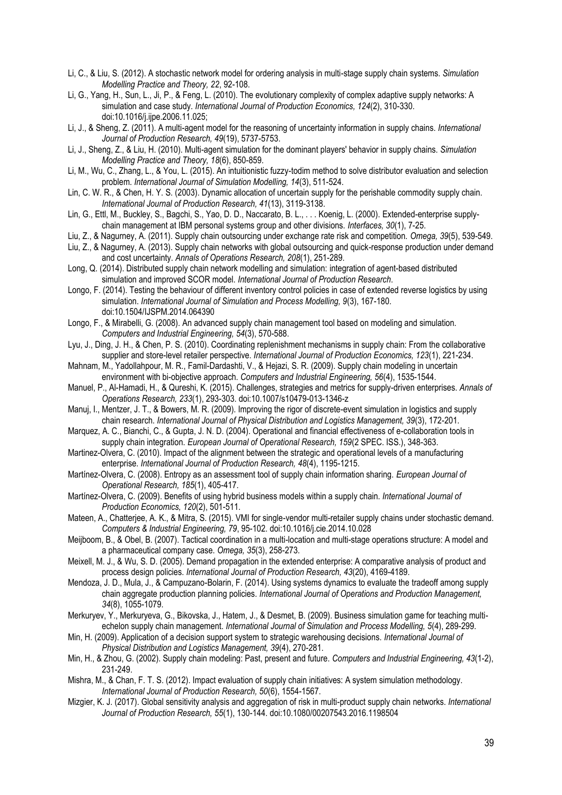- Li, C., & Liu, S. (2012). A stochastic network model for ordering analysis in multi-stage supply chain systems. *Simulation Modelling Practice and Theory, 22*, 92-108.
- Li, G., Yang, H., Sun, L., Ji, P., & Feng, L. (2010). The evolutionary complexity of complex adaptive supply networks: A simulation and case study. *International Journal of Production Economics, 124*(2), 310-330. doi:10.1016/j.ijpe.2006.11.025;
- Li, J., & Sheng, Z. (2011). A multi-agent model for the reasoning of uncertainty information in supply chains. *International Journal of Production Research, 49*(19), 5737-5753.
- Li, J., Sheng, Z., & Liu, H. (2010). Multi-agent simulation for the dominant players' behavior in supply chains. *Simulation Modelling Practice and Theory, 18*(6), 850-859.
- Li, M., Wu, C., Zhang, L., & You, L. (2015). An intuitionistic fuzzy-todim method to solve distributor evaluation and selection problem. *International Journal of Simulation Modelling, 14*(3), 511-524.
- Lin, C. W. R., & Chen, H. Y. S. (2003). Dynamic allocation of uncertain supply for the perishable commodity supply chain. *International Journal of Production Research, 41*(13), 3119-3138.
- Lin, G., Ettl, M., Buckley, S., Bagchi, S., Yao, D. D., Naccarato, B. L., . . . Koenig, L. (2000). Extended-enterprise supplychain management at IBM personal systems group and other divisions. *Interfaces, 30*(1), 7-25.
- Liu, Z., & Nagurney, A. (2011). Supply chain outsourcing under exchange rate risk and competition. *Omega, 39*(5), 539-549.
- Liu, Z., & Nagurney, A. (2013). Supply chain networks with global outsourcing and quick-response production under demand and cost uncertainty. *Annals of Operations Research, 208*(1), 251-289.
- Long, Q. (2014). Distributed supply chain network modelling and simulation: integration of agent-based distributed simulation and improved SCOR model. *International Journal of Production Research*.
- Longo, F. (2014). Testing the behaviour of different inventory control policies in case of extended reverse logistics by using simulation. *International Journal of Simulation and Process Modelling, 9*(3), 167-180. doi:10.1504/IJSPM.2014.064390
- Longo, F., & Mirabelli, G. (2008). An advanced supply chain management tool based on modeling and simulation. *Computers and Industrial Engineering, 54*(3), 570-588.
- Lyu, J., Ding, J. H., & Chen, P. S. (2010). Coordinating replenishment mechanisms in supply chain: From the collaborative supplier and store-level retailer perspective. *International Journal of Production Economics, 123*(1), 221-234.
- Mahnam, M., Yadollahpour, M. R., Famil-Dardashti, V., & Hejazi, S. R. (2009). Supply chain modeling in uncertain environment with bi-objective approach. *Computers and Industrial Engineering, 56*(4), 1535-1544.
- Manuel, P., Al-Hamadi, H., & Qureshi, K. (2015). Challenges, strategies and metrics for supply-driven enterprises. *Annals of Operations Research, 233*(1), 293-303. doi:10.1007/s10479-013-1346-z
- Manuj, I., Mentzer, J. T., & Bowers, M. R. (2009). Improving the rigor of discrete-event simulation in logistics and supply chain research. *International Journal of Physical Distribution and Logistics Management, 39*(3), 172-201.
- Marquez, A. C., Bianchi, C., & Gupta, J. N. D. (2004). Operational and financial effectiveness of e-collaboration tools in supply chain integration. *European Journal of Operational Research, 159*(2 SPEC. ISS.), 348-363.
- Martinez-Olvera, C. (2010). Impact of the alignment between the strategic and operational levels of a manufacturing enterprise. *International Journal of Production Research, 48*(4), 1195-1215.
- Martínez-Olvera, C. (2008). Entropy as an assessment tool of supply chain information sharing. *European Journal of Operational Research, 185*(1), 405-417.
- Martínez-Olvera, C. (2009). Benefits of using hybrid business models within a supply chain. *International Journal of Production Economics, 120*(2), 501-511.
- Mateen, A., Chatterjee, A. K., & Mitra, S. (2015). VMI for single-vendor multi-retailer supply chains under stochastic demand. *Computers & Industrial Engineering, 79*, 95-102. doi:10.1016/j.cie.2014.10.028
- Meijboom, B., & Obel, B. (2007). Tactical coordination in a multi-location and multi-stage operations structure: A model and a pharmaceutical company case. *Omega, 35*(3), 258-273.
- Meixell, M. J., & Wu, S. D. (2005). Demand propagation in the extended enterprise: A comparative analysis of product and process design policies. *International Journal of Production Research, 43*(20), 4169-4189.
- Mendoza, J. D., Mula, J., & Campuzano-Bolarin, F. (2014). Using systems dynamics to evaluate the tradeoff among supply chain aggregate production planning policies. *International Journal of Operations and Production Management, 34*(8), 1055-1079.
- Merkuryev, Y., Merkuryeva, G., Bikovska, J., Hatem, J., & Desmet, B. (2009). Business simulation game for teaching multiechelon supply chain management. *International Journal of Simulation and Process Modelling, 5*(4), 289-299.
- Min, H. (2009). Application of a decision support system to strategic warehousing decisions. *International Journal of Physical Distribution and Logistics Management, 39*(4), 270-281.
- Min, H., & Zhou, G. (2002). Supply chain modeling: Past, present and future. *Computers and Industrial Engineering, 43*(1-2), 231-249.
- Mishra, M., & Chan, F. T. S. (2012). Impact evaluation of supply chain initiatives: A system simulation methodology. *International Journal of Production Research, 50*(6), 1554-1567.
- Mizgier, K. J. (2017). Global sensitivity analysis and aggregation of risk in multi-product supply chain networks. *International Journal of Production Research, 55*(1), 130-144. doi:10.1080/00207543.2016.1198504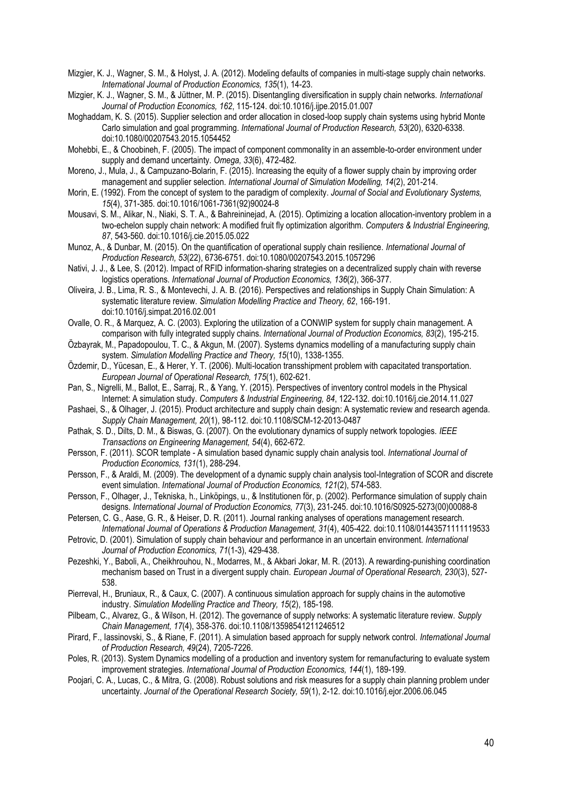Mizgier, K. J., Wagner, S. M., & Holyst, J. A. (2012). Modeling defaults of companies in multi-stage supply chain networks. *International Journal of Production Economics, 135*(1), 14-23.

Mizgier, K. J., Wagner, S. M., & Jüttner, M. P. (2015). Disentangling diversification in supply chain networks. *International Journal of Production Economics, 162*, 115-124. doi:10.1016/j.ijpe.2015.01.007

Moghaddam, K. S. (2015). Supplier selection and order allocation in closed-loop supply chain systems using hybrid Monte Carlo simulation and goal programming. *International Journal of Production Research, 53*(20), 6320-6338. doi:10.1080/00207543.2015.1054452

Mohebbi, E., & Choobineh, F. (2005). The impact of component commonality in an assemble-to-order environment under supply and demand uncertainty. *Omega, 33*(6), 472-482.

Moreno, J., Mula, J., & Campuzano-Bolarin, F. (2015). Increasing the equity of a flower supply chain by improving order management and supplier selection. *International Journal of Simulation Modelling, 14*(2), 201-214.

Morin, E. (1992). From the concept of system to the paradigm of complexity. *Journal of Social and Evolutionary Systems, 15*(4), 371-385. doi:10.1016/1061-7361(92)90024-8

Mousavi, S. M., Alikar, N., Niaki, S. T. A., & Bahreininejad, A. (2015). Optimizing a location allocation-inventory problem in a two-echelon supply chain network: A modified fruit fly optimization algorithm. *Computers & Industrial Engineering, 87*, 543-560. doi:10.1016/j.cie.2015.05.022

Munoz, A., & Dunbar, M. (2015). On the quantification of operational supply chain resilience. *International Journal of Production Research, 53*(22), 6736-6751. doi:10.1080/00207543.2015.1057296

Nativi, J. J., & Lee, S. (2012). Impact of RFID information-sharing strategies on a decentralized supply chain with reverse logistics operations. *International Journal of Production Economics, 136*(2), 366-377.

Oliveira, J. B., Lima, R. S., & Montevechi, J. A. B. (2016). Perspectives and relationships in Supply Chain Simulation: A systematic literature review. *Simulation Modelling Practice and Theory, 62*, 166-191. doi:10.1016/j.simpat.2016.02.001

Ovalle, O. R., & Marquez, A. C. (2003). Exploring the utilization of a CONWIP system for supply chain management. A comparison with fully integrated supply chains. *International Journal of Production Economics, 83*(2), 195-215.

Özbayrak, M., Papadopoulou, T. C., & Akgun, M. (2007). Systems dynamics modelling of a manufacturing supply chain system. *Simulation Modelling Practice and Theory, 15*(10), 1338-1355.

Özdemir, D., Yücesan, E., & Herer, Y. T. (2006). Multi-location transshipment problem with capacitated transportation. *European Journal of Operational Research, 175*(1), 602-621.

Pan, S., Nigrelli, M., Ballot, E., Sarraj, R., & Yang, Y. (2015). Perspectives of inventory control models in the Physical Internet: A simulation study. *Computers & Industrial Engineering, 84*, 122-132. doi:10.1016/j.cie.2014.11.027

Pashaei, S., & Olhager, J. (2015). Product architecture and supply chain design: A systematic review and research agenda. *Supply Chain Management, 20*(1), 98-112. doi:10.1108/SCM-12-2013-0487

Pathak, S. D., Dilts, D. M., & Biswas, G. (2007). On the evolutionary dynamics of supply network topologies. *IEEE Transactions on Engineering Management, 54*(4), 662-672.

Persson, F. (2011). SCOR template - A simulation based dynamic supply chain analysis tool. *International Journal of Production Economics, 131*(1), 288-294.

Persson, F., & Araldi, M. (2009). The development of a dynamic supply chain analysis tool-Integration of SCOR and discrete event simulation. *International Journal of Production Economics, 121*(2), 574-583.

Persson, F., Olhager, J., Tekniska, h., Linköpings, u., & Institutionen för, p. (2002). Performance simulation of supply chain designs. *International Journal of Production Economics, 77*(3), 231-245. doi:10.1016/S0925-5273(00)00088-8

Petersen, C. G., Aase, G. R., & Heiser, D. R. (2011). Journal ranking analyses of operations management research. *International Journal of Operations & Production Management, 31*(4), 405-422. doi:10.1108/01443571111119533

Petrovic, D. (2001). Simulation of supply chain behaviour and performance in an uncertain environment. *International Journal of Production Economics, 71*(1-3), 429-438.

Pezeshki, Y., Baboli, A., Cheikhrouhou, N., Modarres, M., & Akbari Jokar, M. R. (2013). A rewarding-punishing coordination mechanism based on Trust in a divergent supply chain. *European Journal of Operational Research, 230*(3), 527- 538.

Pierreval, H., Bruniaux, R., & Caux, C. (2007). A continuous simulation approach for supply chains in the automotive industry. *Simulation Modelling Practice and Theory, 15*(2), 185-198.

Pilbeam, C., Alvarez, G., & Wilson, H. (2012). The governance of supply networks: A systematic literature review. *Supply Chain Management, 17*(4), 358-376. doi:10.1108/13598541211246512

Pirard, F., Iassinovski, S., & Riane, F. (2011). A simulation based approach for supply network control. *International Journal of Production Research, 49*(24), 7205-7226.

Poles, R. (2013). System Dynamics modelling of a production and inventory system for remanufacturing to evaluate system improvement strategies. *International Journal of Production Economics, 144*(1), 189-199.

Poojari, C. A., Lucas, C., & Mitra, G. (2008). Robust solutions and risk measures for a supply chain planning problem under uncertainty. *Journal of the Operational Research Society, 59*(1), 2-12. doi:10.1016/j.ejor.2006.06.045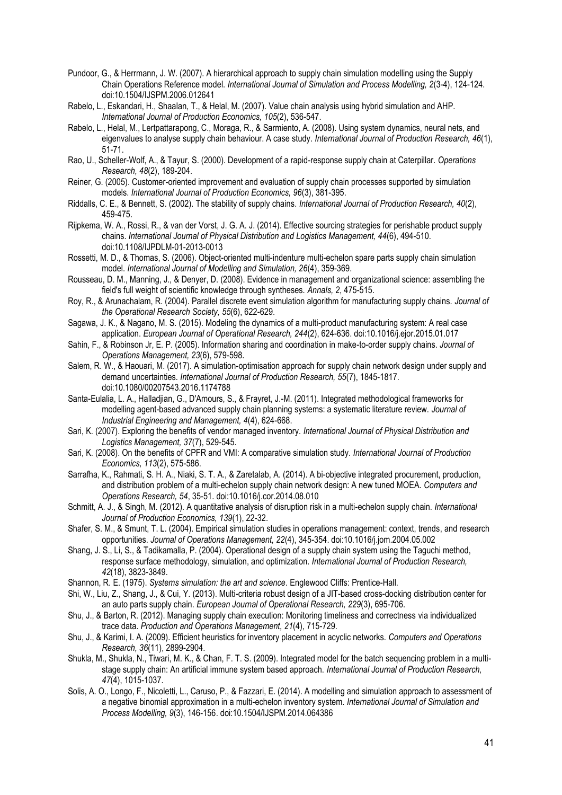- Pundoor, G., & Herrmann, J. W. (2007). A hierarchical approach to supply chain simulation modelling using the Supply Chain Operations Reference model. *International Journal of Simulation and Process Modelling, 2*(3-4), 124-124. doi:10.1504/IJSPM.2006.012641
- Rabelo, L., Eskandari, H., Shaalan, T., & Helal, M. (2007). Value chain analysis using hybrid simulation and AHP. *International Journal of Production Economics, 105*(2), 536-547.
- Rabelo, L., Helal, M., Lertpattarapong, C., Moraga, R., & Sarmiento, A. (2008). Using system dynamics, neural nets, and eigenvalues to analyse supply chain behaviour. A case study. *International Journal of Production Research, 46*(1), 51-71.
- Rao, U., Scheller-Wolf, A., & Tayur, S. (2000). Development of a rapid-response supply chain at Caterpillar. *Operations Research, 48*(2), 189-204.
- Reiner, G. (2005). Customer-oriented improvement and evaluation of supply chain processes supported by simulation models. *International Journal of Production Economics, 96*(3), 381-395.
- Riddalls, C. E., & Bennett, S. (2002). The stability of supply chains. *International Journal of Production Research, 40*(2), 459-475.
- Rijpkema, W. A., Rossi, R., & van der Vorst, J. G. A. J. (2014). Effective sourcing strategies for perishable product supply chains. *International Journal of Physical Distribution and Logistics Management, 44*(6), 494-510. doi:10.1108/IJPDLM-01-2013-0013
- Rossetti, M. D., & Thomas, S. (2006). Object-oriented multi-indenture multi-echelon spare parts supply chain simulation model. *International Journal of Modelling and Simulation, 26*(4), 359-369.
- Rousseau, D. M., Manning, J., & Denyer, D. (2008). Evidence in management and organizational science: assembling the field's full weight of scientific knowledge through syntheses. *Annals, 2*, 475-515.
- Roy, R., & Arunachalam, R. (2004). Parallel discrete event simulation algorithm for manufacturing supply chains. *Journal of the Operational Research Society, 55*(6), 622-629.
- Sagawa, J. K., & Nagano, M. S. (2015). Modeling the dynamics of a multi-product manufacturing system: A real case application. *European Journal of Operational Research, 244*(2), 624-636. doi:10.1016/j.ejor.2015.01.017
- Sahin, F., & Robinson Jr, E. P. (2005). Information sharing and coordination in make-to-order supply chains. *Journal of Operations Management, 23*(6), 579-598.
- Salem, R. W., & Haouari, M. (2017). A simulation-optimisation approach for supply chain network design under supply and demand uncertainties. *International Journal of Production Research, 55*(7), 1845-1817. doi:10.1080/00207543.2016.1174788
- Santa-Eulalia, L. A., Halladjian, G., D'Amours, S., & Frayret, J.-M. (2011). Integrated methodological frameworks for modelling agent-based advanced supply chain planning systems: a systematic literature review. *Journal of Industrial Engineering and Management, 4*(4), 624-668.
- Sari, K. (2007). Exploring the benefits of vendor managed inventory. *International Journal of Physical Distribution and Logistics Management, 37*(7), 529-545.
- Sari, K. (2008). On the benefits of CPFR and VMI: A comparative simulation study. *International Journal of Production Economics, 113*(2), 575-586.
- Sarrafha, K., Rahmati, S. H. A., Niaki, S. T. A., & Zaretalab, A. (2014). A bi-objective integrated procurement, production, and distribution problem of a multi-echelon supply chain network design: A new tuned MOEA. *Computers and Operations Research, 54*, 35-51. doi:10.1016/j.cor.2014.08.010
- Schmitt, A. J., & Singh, M. (2012). A quantitative analysis of disruption risk in a multi-echelon supply chain. *International Journal of Production Economics, 139*(1), 22-32.
- Shafer, S. M., & Smunt, T. L. (2004). Empirical simulation studies in operations management: context, trends, and research opportunities. *Journal of Operations Management, 22*(4), 345-354. doi:10.1016/j.jom.2004.05.002
- Shang, J. S., Li, S., & Tadikamalla, P. (2004). Operational design of a supply chain system using the Taguchi method, response surface methodology, simulation, and optimization. *International Journal of Production Research, 42*(18), 3823-3849.
- Shannon, R. E. (1975). *Systems simulation: the art and science*. Englewood Cliffs: Prentice-Hall.
- Shi, W., Liu, Z., Shang, J., & Cui, Y. (2013). Multi-criteria robust design of a JIT-based cross-docking distribution center for an auto parts supply chain. *European Journal of Operational Research, 229*(3), 695-706.
- Shu, J., & Barton, R. (2012). Managing supply chain execution: Monitoring timeliness and correctness via individualized trace data. *Production and Operations Management, 21*(4), 715-729.
- Shu, J., & Karimi, I. A. (2009). Efficient heuristics for inventory placement in acyclic networks. *Computers and Operations Research, 36*(11), 2899-2904.
- Shukla, M., Shukla, N., Tiwari, M. K., & Chan, F. T. S. (2009). Integrated model for the batch sequencing problem in a multistage supply chain: An artificial immune system based approach. *International Journal of Production Research, 47*(4), 1015-1037.
- Solis, A. O., Longo, F., Nicoletti, L., Caruso, P., & Fazzari, E. (2014). A modelling and simulation approach to assessment of a negative binomial approximation in a multi-echelon inventory system. *International Journal of Simulation and Process Modelling, 9*(3), 146-156. doi:10.1504/IJSPM.2014.064386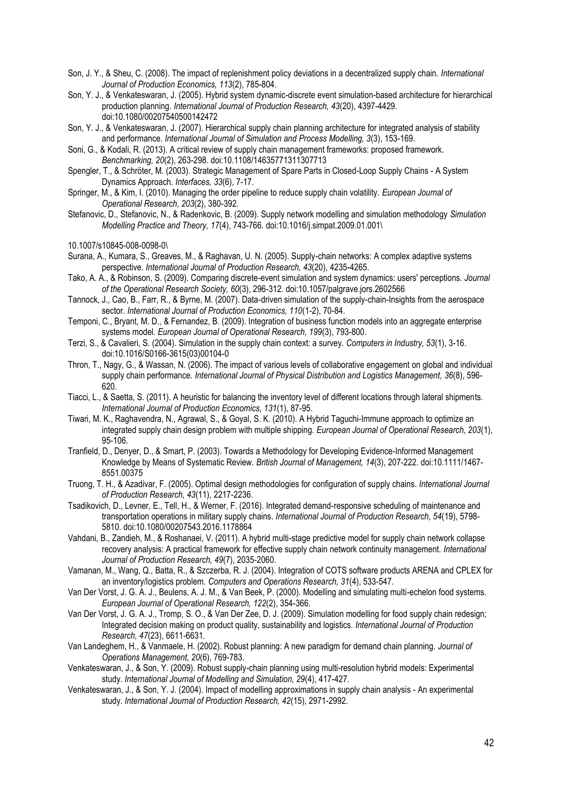- Son, J. Y., & Sheu, C. (2008). The impact of replenishment policy deviations in a decentralized supply chain. *International Journal of Production Economics, 113*(2), 785-804.
- Son, Y. J., & Venkateswaran, J. (2005). Hybrid system dynamic-discrete event simulation-based architecture for hierarchical production planning. *International Journal of Production Research, 43*(20), 4397-4429. doi:10.1080/00207540500142472
- Son, Y. J., & Venkateswaran, J. (2007). Hierarchical supply chain planning architecture for integrated analysis of stability and performance. *International Journal of Simulation and Process Modelling, 3*(3), 153-169.
- Soni, G., & Kodali, R. (2013). A critical review of supply chain management frameworks: proposed framework. *Benchmarking, 20*(2), 263-298. doi:10.1108/14635771311307713
- Spengler, T., & Schröter, M. (2003). Strategic Management of Spare Parts in Closed-Loop Supply Chains A System Dynamics Approach. *Interfaces, 33*(6), 7-17.
- Springer, M., & Kim, I. (2010). Managing the order pipeline to reduce supply chain volatility. *European Journal of Operational Research, 203*(2), 380-392.
- Stefanovic, D., Stefanovic, N., & Radenkovic, B. (2009). Supply network modelling and simulation methodology *Simulation Modelling Practice and Theory, 17*(4), 743-766. doi:10.1016/j.simpat.2009.01.001\

10.1007/s10845-008-0098-0\

- Surana, A., Kumara, S., Greaves, M., & Raghavan, U. N. (2005). Supply-chain networks: A complex adaptive systems perspective. *International Journal of Production Research, 43*(20), 4235-4265.
- Tako, A. A., & Robinson, S. (2009). Comparing discrete-event simulation and system dynamics: users' perceptions. *Journal of the Operational Research Society, 60*(3), 296-312. doi:10.1057/palgrave.jors.2602566
- Tannock, J., Cao, B., Farr, R., & Byrne, M. (2007). Data-driven simulation of the supply-chain-Insights from the aerospace sector. *International Journal of Production Economics, 110*(1-2), 70-84.
- Temponi, C., Bryant, M. D., & Fernandez, B. (2009). Integration of business function models into an aggregate enterprise systems model. *European Journal of Operational Research, 199*(3), 793-800.
- Terzi, S., & Cavalieri, S. (2004). Simulation in the supply chain context: a survey. *Computers in Industry, 53*(1), 3-16. doi:10.1016/S0166-3615(03)00104-0
- Thron, T., Nagy, G., & Wassan, N. (2006). The impact of various levels of collaborative engagement on global and individual supply chain performance. *International Journal of Physical Distribution and Logistics Management, 36*(8), 596- 620.
- Tiacci, L., & Saetta, S. (2011). A heuristic for balancing the inventory level of different locations through lateral shipments. *International Journal of Production Economics, 131*(1), 87-95.
- Tiwari, M. K., Raghavendra, N., Agrawal, S., & Goyal, S. K. (2010). A Hybrid Taguchi-Immune approach to optimize an integrated supply chain design problem with multiple shipping. *European Journal of Operational Research, 203*(1), 95-106.
- Tranfield, D., Denyer, D., & Smart, P. (2003). Towards a Methodology for Developing Evidence-Informed Management Knowledge by Means of Systematic Review. *British Journal of Management, 14*(3), 207-222. doi:10.1111/1467- 8551.00375
- Truong, T. H., & Azadivar, F. (2005). Optimal design methodologies for configuration of supply chains. *International Journal of Production Research, 43*(11), 2217-2236.
- Tsadikovich, D., Levner, E., Tell, H., & Werner, F. (2016). Integrated demand-responsive scheduling of maintenance and transportation operations in military supply chains. *International Journal of Production Research, 54*(19), 5798- 5810. doi:10.1080/00207543.2016.1178864
- Vahdani, B., Zandieh, M., & Roshanaei, V. (2011). A hybrid multi-stage predictive model for supply chain network collapse recovery analysis: A practical framework for effective supply chain network continuity management. *International Journal of Production Research, 49*(7), 2035-2060.
- Vamanan, M., Wang, Q., Batta, R., & Szczerba, R. J. (2004). Integration of COTS software products ARENA and CPLEX for an inventory/logistics problem. *Computers and Operations Research, 31*(4), 533-547.
- Van Der Vorst, J. G. A. J., Beulens, A. J. M., & Van Beek, P. (2000). Modelling and simulating multi-echelon food systems. *European Journal of Operational Research, 122*(2), 354-366.
- Van Der Vorst, J. G. A. J., Tromp, S. O., & Van Der Zee, D. J. (2009). Simulation modelling for food supply chain redesign; Integrated decision making on product quality, sustainability and logistics. *International Journal of Production Research, 47*(23), 6611-6631.
- Van Landeghem, H., & Vanmaele, H. (2002). Robust planning: A new paradigm for demand chain planning. *Journal of Operations Management, 20*(6), 769-783.
- Venkateswaran, J., & Son, Y. (2009). Robust supply-chain planning using multi-resolution hybrid models: Experimental study. *International Journal of Modelling and Simulation, 29*(4), 417-427.
- Venkateswaran, J., & Son, Y. J. (2004). Impact of modelling approximations in supply chain analysis An experimental study. *International Journal of Production Research, 42*(15), 2971-2992.